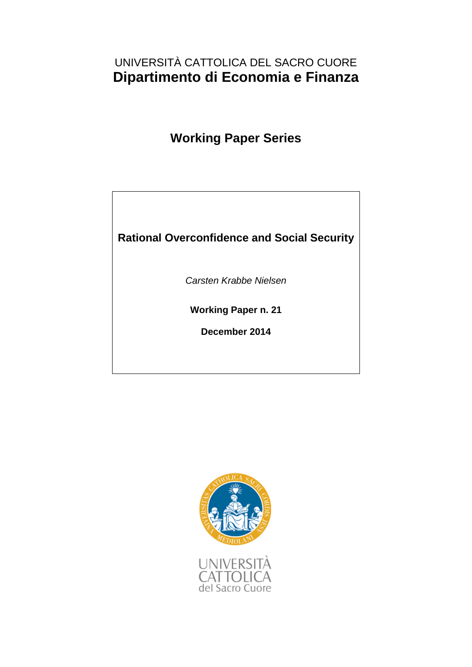# UNIVERSITÀ CATTOLICA DEL SACRO CUORE **Dipartimento di Economia e Finanza**

**Working Paper Series**

## **Rational Overconfidence and Social Security**

*Carsten Krabbe Nielsen*

**Working Paper n. 21**

**December 2014**

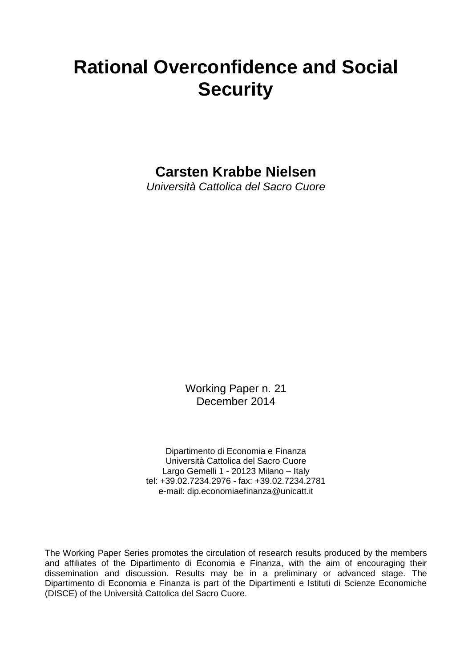# **Rational Overconfidence and Social Security**

**Carsten Krabbe Nielsen**

*Università Cattolica del Sacro Cuore*

Working Paper n. 21 December 2014

Dipartimento di Economia e Finanza Università Cattolica del Sacro Cuore Largo Gemelli 1 - 20123 Milano – Italy tel: +39.02.7234.2976 - fax: +39.02.7234.2781 e-mail: dip.economiaefinanza@unicatt.it

The Working Paper Series promotes the circulation of research results produced by the members and affiliates of the Dipartimento di Economia e Finanza, with the aim of encouraging their dissemination and discussion. Results may be in a preliminary or advanced stage. The Dipartimento di Economia e Finanza is part of the Dipartimenti e Istituti di Scienze Economiche (DISCE) of the Università Cattolica del Sacro Cuore.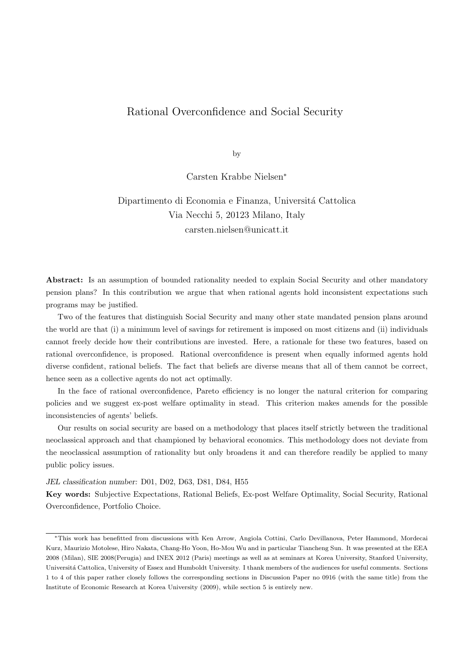## Rational Overconfidence and Social Security

by

Carsten Krabbe Nielsen<sup>∗</sup>

## Dipartimento di Economia e Finanza, Universitá Cattolica Via Necchi 5, 20123 Milano, Italy carsten.nielsen@unicatt.it

Abstract: Is an assumption of bounded rationality needed to explain Social Security and other mandatory pension plans? In this contribution we argue that when rational agents hold inconsistent expectations such programs may be justified.

Two of the features that distinguish Social Security and many other state mandated pension plans around the world are that (i) a minimum level of savings for retirement is imposed on most citizens and (ii) individuals cannot freely decide how their contributions are invested. Here, a rationale for these two features, based on rational overconfidence, is proposed. Rational overconfidence is present when equally informed agents hold diverse confident, rational beliefs. The fact that beliefs are diverse means that all of them cannot be correct, hence seen as a collective agents do not act optimally.

In the face of rational overconfidence, Pareto efficiency is no longer the natural criterion for comparing policies and we suggest ex-post welfare optimality in stead. This criterion makes amends for the possible inconsistencies of agents' beliefs.

Our results on social security are based on a methodology that places itself strictly between the traditional neoclassical approach and that championed by behavioral economics. This methodology does not deviate from the neoclassical assumption of rationality but only broadens it and can therefore readily be applied to many public policy issues.

JEL classification number: D01, D02, D63, D81, D84, H55

Key words: Subjective Expectations, Rational Beliefs, Ex-post Welfare Optimality, Social Security, Rational Overconfidence, Portfolio Choice.

<sup>∗</sup>This work has benefitted from discussions with Ken Arrow, Angiola Cottini, Carlo Devillanova, Peter Hammond, Mordecai Kurz, Maurizio Motolese, Hiro Nakata, Chang-Ho Yoon, Ho-Mou Wu and in particular Tiancheng Sun. It was presented at the EEA 2008 (Milan), SIE 2008(Perugia) and INEX 2012 (Paris) meetings as well as at seminars at Korea University, Stanford University, Universitá Cattolica, University of Essex and Humboldt University. I thank members of the audiences for useful comments. Sections 1 to 4 of this paper rather closely follows the corresponding sections in Discussion Paper no 0916 (with the same title) from the Institute of Economic Research at Korea University (2009), while section 5 is entirely new.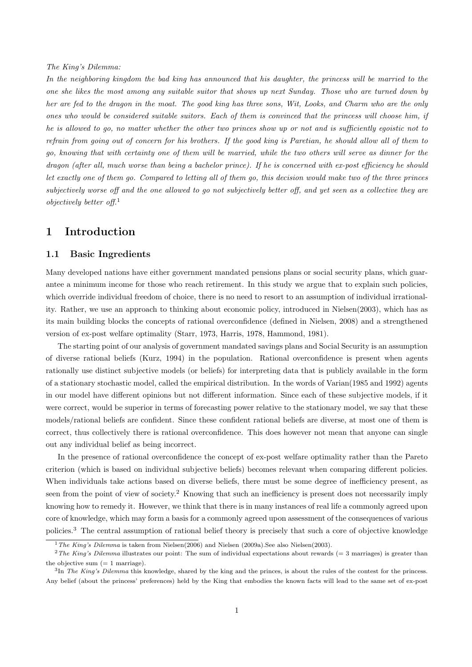### The King's Dilemma:

In the neighboring kingdom the bad king has announced that his daughter, the princess will be married to the one she likes the most among any suitable suitor that shows up next Sunday. Those who are turned down by her are fed to the dragon in the moat. The good king has three sons, Wit, Looks, and Charm who are the only ones who would be considered suitable suitors. Each of them is convinced that the princess will choose him, if he is allowed to go, no matter whether the other two princes show up or not and is sufficiently egoistic not to refrain from going out of concern for his brothers. If the good king is Paretian, he should allow all of them to go, knowing that with certainty one of them will be married, while the two others will serve as dinner for the dragon (after all, much worse than being a bachelor prince). If he is concerned with ex-post efficiency he should let exactly one of them go. Compared to letting all of them go, this decision would make two of the three princes subjectively worse off and the one allowed to go not subjectively better off, and yet seen as a collective they are objectively better off.<sup>1</sup>

## 1 Introduction

## 1.1 Basic Ingredients

Many developed nations have either government mandated pensions plans or social security plans, which guarantee a minimum income for those who reach retirement. In this study we argue that to explain such policies, which override individual freedom of choice, there is no need to resort to an assumption of individual irrationality. Rather, we use an approach to thinking about economic policy, introduced in Nielsen(2003), which has as its main building blocks the concepts of rational overconfidence (defined in Nielsen, 2008) and a strengthened version of ex-post welfare optimality (Starr, 1973, Harris, 1978, Hammond, 1981).

The starting point of our analysis of government mandated savings plans and Social Security is an assumption of diverse rational beliefs (Kurz, 1994) in the population. Rational overconfidence is present when agents rationally use distinct subjective models (or beliefs) for interpreting data that is publicly available in the form of a stationary stochastic model, called the empirical distribution. In the words of Varian(1985 and 1992) agents in our model have different opinions but not different information. Since each of these subjective models, if it were correct, would be superior in terms of forecasting power relative to the stationary model, we say that these models/rational beliefs are confident. Since these confident rational beliefs are diverse, at most one of them is correct, thus collectively there is rational overconfidence. This does however not mean that anyone can single out any individual belief as being incorrect.

In the presence of rational overconfidence the concept of ex-post welfare optimality rather than the Pareto criterion (which is based on individual subjective beliefs) becomes relevant when comparing different policies. When individuals take actions based on diverse beliefs, there must be some degree of inefficiency present, as seen from the point of view of society.<sup>2</sup> Knowing that such an inefficiency is present does not necessarily imply knowing how to remedy it. However, we think that there is in many instances of real life a commonly agreed upon core of knowledge, which may form a basis for a commonly agreed upon assessment of the consequences of various policies.<sup>3</sup> The central assumption of rational belief theory is precisely that such a core of objective knowledge

<sup>&</sup>lt;sup>1</sup>The King's Dilemma is taken from Nielsen(2006) and Nielsen (2009a). See also Nielsen(2003).

 $2$ The King's Dilemma illustrates our point: The sum of individual expectations about rewards (= 3 marriages) is greater than the objective sum  $(= 1 \text{ marriage})$ .

 ${}^{3}\text{In}$  The King's Dilemma this knowledge, shared by the king and the princes, is about the rules of the contest for the princess. Any belief (about the princess' preferences) held by the King that embodies the known facts will lead to the same set of ex-post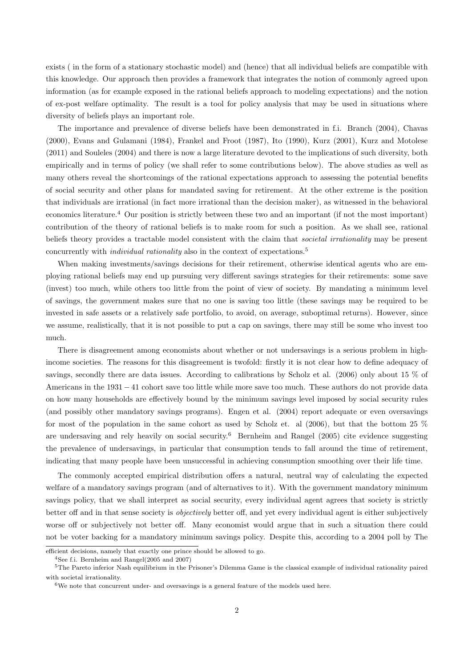exists ( in the form of a stationary stochastic model) and (hence) that all individual beliefs are compatible with this knowledge. Our approach then provides a framework that integrates the notion of commonly agreed upon information (as for example exposed in the rational beliefs approach to modeling expectations) and the notion of ex-post welfare optimality. The result is a tool for policy analysis that may be used in situations where diversity of beliefs plays an important role.

The importance and prevalence of diverse beliefs have been demonstrated in f.i. Branch (2004), Chavas (2000), Evans and Gulamani (1984), Frankel and Froot (1987), Ito (1990), Kurz (2001), Kurz and Motolese (2011) and Souleles (2004) and there is now a large literature devoted to the implications of such diversity, both empirically and in terms of policy (we shall refer to some contributions below). The above studies as well as many others reveal the shortcomings of the rational expectations approach to assessing the potential benefits of social security and other plans for mandated saving for retirement. At the other extreme is the position that individuals are irrational (in fact more irrational than the decision maker), as witnessed in the behavioral economics literature.<sup>4</sup> Our position is strictly between these two and an important (if not the most important) contribution of the theory of rational beliefs is to make room for such a position. As we shall see, rational beliefs theory provides a tractable model consistent with the claim that societal irrationality may be present concurrently with *individual rationality* also in the context of expectations.<sup>5</sup>

When making investments/savings decisions for their retirement, otherwise identical agents who are employing rational beliefs may end up pursuing very different savings strategies for their retirements: some save (invest) too much, while others too little from the point of view of society. By mandating a minimum level of savings, the government makes sure that no one is saving too little (these savings may be required to be invested in safe assets or a relatively safe portfolio, to avoid, on average, suboptimal returns). However, since we assume, realistically, that it is not possible to put a cap on savings, there may still be some who invest too much.

There is disagreement among economists about whether or not undersavings is a serious problem in highincome societies. The reasons for this disagreement is twofold: firstly it is not clear how to define adequacy of savings, secondly there are data issues. According to calibrations by Scholz et al. (2006) only about 15 % of Americans in the 1931 − 41 cohort save too little while more save too much. These authors do not provide data on how many households are effectively bound by the minimum savings level imposed by social security rules (and possibly other mandatory savings programs). Engen et al. (2004) report adequate or even oversavings for most of the population in the same cohort as used by Scholz et. al (2006), but that the bottom 25 % are undersaving and rely heavily on social security.<sup>6</sup> Bernheim and Rangel (2005) cite evidence suggesting the prevalence of undersavings, in particular that consumption tends to fall around the time of retirement, indicating that many people have been unsuccessful in achieving consumption smoothing over their life time.

The commonly accepted empirical distribution offers a natural, neutral way of calculating the expected welfare of a mandatory savings program (and of alternatives to it). With the government mandatory minimum savings policy, that we shall interpret as social security, every individual agent agrees that society is strictly better off and in that sense society is objectively better off, and yet every individual agent is either subjectively worse off or subjectively not better off. Many economist would argue that in such a situation there could not be voter backing for a mandatory minimum savings policy. Despite this, according to a 2004 poll by The

efficient decisions, namely that exactly one prince should be allowed to go.

<sup>4</sup>See f.i. Bernheim and Rangel(2005 and 2007)

<sup>5</sup>The Pareto inferior Nash equilibrium in the Prisoner's Dilemma Game is the classical example of individual rationality paired with societal irrationality.

 $6$ We note that concurrent under- and oversavings is a general feature of the models used here.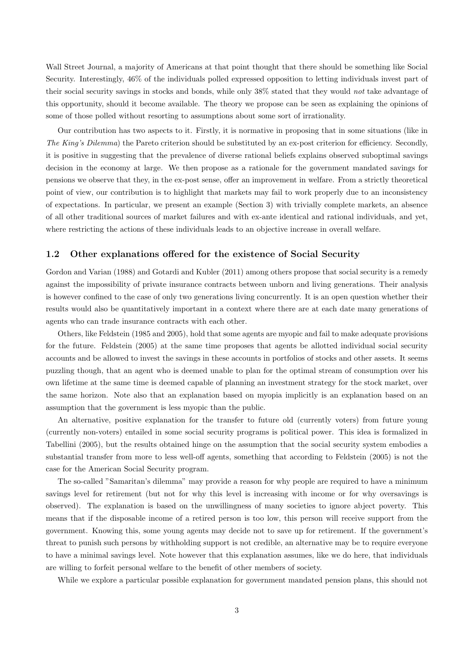Wall Street Journal, a majority of Americans at that point thought that there should be something like Social Security. Interestingly, 46% of the individuals polled expressed opposition to letting individuals invest part of their social security savings in stocks and bonds, while only 38% stated that they would not take advantage of this opportunity, should it become available. The theory we propose can be seen as explaining the opinions of some of those polled without resorting to assumptions about some sort of irrationality.

Our contribution has two aspects to it. Firstly, it is normative in proposing that in some situations (like in The King's Dilemma) the Pareto criterion should be substituted by an ex-post criterion for efficiency. Secondly, it is positive in suggesting that the prevalence of diverse rational beliefs explains observed suboptimal savings decision in the economy at large. We then propose as a rationale for the government mandated savings for pensions we observe that they, in the ex-post sense, offer an improvement in welfare. From a strictly theoretical point of view, our contribution is to highlight that markets may fail to work properly due to an inconsistency of expectations. In particular, we present an example (Section 3) with trivially complete markets, an absence of all other traditional sources of market failures and with ex-ante identical and rational individuals, and yet, where restricting the actions of these individuals leads to an objective increase in overall welfare.

## 1.2 Other explanations offered for the existence of Social Security

Gordon and Varian (1988) and Gotardi and Kubler (2011) among others propose that social security is a remedy against the impossibility of private insurance contracts between unborn and living generations. Their analysis is however confined to the case of only two generations living concurrently. It is an open question whether their results would also be quantitatively important in a context where there are at each date many generations of agents who can trade insurance contracts with each other.

Others, like Feldstein (1985 and 2005), hold that some agents are myopic and fail to make adequate provisions for the future. Feldstein (2005) at the same time proposes that agents be allotted individual social security accounts and be allowed to invest the savings in these accounts in portfolios of stocks and other assets. It seems puzzling though, that an agent who is deemed unable to plan for the optimal stream of consumption over his own lifetime at the same time is deemed capable of planning an investment strategy for the stock market, over the same horizon. Note also that an explanation based on myopia implicitly is an explanation based on an assumption that the government is less myopic than the public.

An alternative, positive explanation for the transfer to future old (currently voters) from future young (currently non-voters) entailed in some social security programs is political power. This idea is formalized in Tabellini (2005), but the results obtained hinge on the assumption that the social security system embodies a substantial transfer from more to less well-off agents, something that according to Feldstein (2005) is not the case for the American Social Security program.

The so-called "Samaritan's dilemma" may provide a reason for why people are required to have a minimum savings level for retirement (but not for why this level is increasing with income or for why oversavings is observed). The explanation is based on the unwillingness of many societies to ignore abject poverty. This means that if the disposable income of a retired person is too low, this person will receive support from the government. Knowing this, some young agents may decide not to save up for retirement. If the government's threat to punish such persons by withholding support is not credible, an alternative may be to require everyone to have a minimal savings level. Note however that this explanation assumes, like we do here, that individuals are willing to forfeit personal welfare to the benefit of other members of society.

While we explore a particular possible explanation for government mandated pension plans, this should not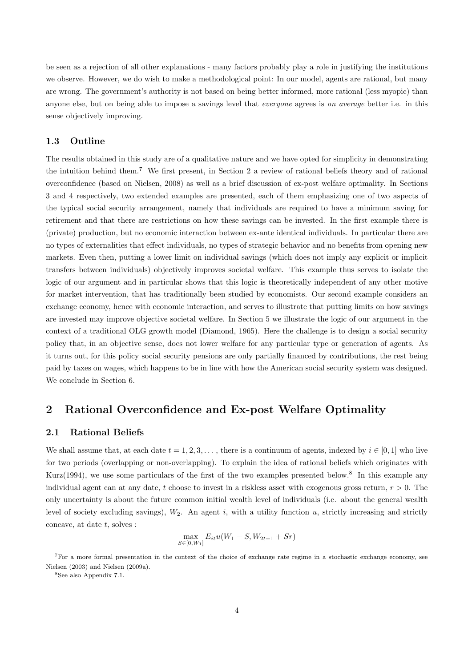be seen as a rejection of all other explanations - many factors probably play a role in justifying the institutions we observe. However, we do wish to make a methodological point: In our model, agents are rational, but many are wrong. The government's authority is not based on being better informed, more rational (less myopic) than anyone else, but on being able to impose a savings level that *everyone* agrees is on *average* better i.e. in this sense objectively improving.

## 1.3 Outline

The results obtained in this study are of a qualitative nature and we have opted for simplicity in demonstrating the intuition behind them.<sup>7</sup> We first present, in Section 2 a review of rational beliefs theory and of rational overconfidence (based on Nielsen, 2008) as well as a brief discussion of ex-post welfare optimality. In Sections 3 and 4 respectively, two extended examples are presented, each of them emphasizing one of two aspects of the typical social security arrangement, namely that individuals are required to have a minimum saving for retirement and that there are restrictions on how these savings can be invested. In the first example there is (private) production, but no economic interaction between ex-ante identical individuals. In particular there are no types of externalities that effect individuals, no types of strategic behavior and no benefits from opening new markets. Even then, putting a lower limit on individual savings (which does not imply any explicit or implicit transfers between individuals) objectively improves societal welfare. This example thus serves to isolate the logic of our argument and in particular shows that this logic is theoretically independent of any other motive for market intervention, that has traditionally been studied by economists. Our second example considers an exchange economy, hence with economic interaction, and serves to illustrate that putting limits on how savings are invested may improve objective societal welfare. In Section 5 we illustrate the logic of our argument in the context of a traditional OLG growth model (Diamond, 1965). Here the challenge is to design a social security policy that, in an objective sense, does not lower welfare for any particular type or generation of agents. As it turns out, for this policy social security pensions are only partially financed by contributions, the rest being paid by taxes on wages, which happens to be in line with how the American social security system was designed. We conclude in Section 6.

## 2 Rational Overconfidence and Ex-post Welfare Optimality

## 2.1 Rational Beliefs

We shall assume that, at each date  $t = 1, 2, 3, \ldots$ , there is a continuum of agents, indexed by  $i \in [0, 1]$  who live for two periods (overlapping or non-overlapping). To explain the idea of rational beliefs which originates with Kurz(1994), we use some particulars of the first of the two examples presented below.<sup>8</sup> In this example any individual agent can at any date, t choose to invest in a riskless asset with exogenous gross return,  $r > 0$ . The only uncertainty is about the future common initial wealth level of individuals (i.e. about the general wealth level of society excluding savings),  $W_2$ . An agent i, with a utility function u, strictly increasing and strictly concave, at date  $t$ , solves :

$$
\max_{S \in [0, W_1]} E_{it}u(W_1 - S, W_{2t+1} + Sr)
$$

<sup>7</sup>For a more formal presentation in the context of the choice of exchange rate regime in a stochastic exchange economy, see Nielsen (2003) and Nielsen (2009a).

<sup>8</sup>See also Appendix 7.1.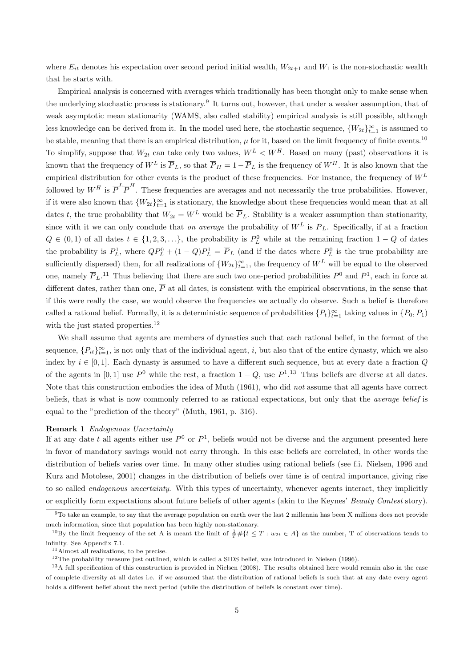where  $E_{it}$  denotes his expectation over second period initial wealth,  $W_{2t+1}$  and  $W_1$  is the non-stochastic wealth that he starts with.

Empirical analysis is concerned with averages which traditionally has been thought only to make sense when the underlying stochastic process is stationary.<sup>9</sup> It turns out, however, that under a weaker assumption, that of weak asymptotic mean stationarity (WAMS, also called stability) empirical analysis is still possible, although less knowledge can be derived from it. In the model used here, the stochastic sequence,  $\{W_{2t}\}_{t=1}^{\infty}$  is assumed to be stable, meaning that there is an empirical distribution,  $\overline{\mu}$  for it, based on the limit frequency of finite events.<sup>10</sup> To simplify, suppose that  $W_{2t}$  can take only two values,  $W^L < W^H$ . Based on many (past) observations it is known that the frequency of  $W^L$  is  $\overline{P}_L$ , so that  $\overline{P}_H = 1 - \overline{P}_L$  is the frequency of  $W^H$ . It is also known that the empirical distribution for other events is the product of these frequencies. For instance, the frequency of  $W^L$ followed by  $W^H$  is  $\overline{P}^L\overline{P}^H$ . These frequencies are averages and not necessarily the true probabilities. However, if it were also known that  ${W_{2t}}_{t=1}^{\infty}$  is stationary, the knowledge about these frequencies would mean that at all dates t, the true probability that  $W_{2t} = W^L$  would be  $\overline{P}_L$ . Stability is a weaker assumption than stationarity, since with it we can only conclude that on average the probability of  $W^L$  is  $\overline{P}_L$ . Specifically, if at a fraction  $Q \in (0,1)$  of all dates  $t \in \{1,2,3,\ldots\}$ , the probability is  $P_L^0$  while at the remaining fraction  $1-Q$  of dates the probability is  $P_L^1$ , where  $QP_L^0 + (1 - Q)P_L^1 = \overline{P}_L$  (and if the dates where  $P_L^0$  is the true probability are sufficiently dispersed) then, for all realizations of  $\{W_{2t}\}_{t=1}^{\infty}$ , the frequency of  $W^L$  will be equal to the observed one, namely  $\overline{P}_L$ .<sup>11</sup> Thus believing that there are such two one-period probabilities  $P^0$  and  $P^1$ , each in force at different dates, rather than one,  $\overline{P}$  at all dates, is consistent with the empirical observations, in the sense that if this were really the case, we would observe the frequencies we actually do observe. Such a belief is therefore called a rational belief. Formally, it is a deterministic sequence of probabilities  $\{P_t\}_{t=1}^{\infty}$  taking values in  $\{P_0, P_1\}$ with the just stated properties.<sup>12</sup>

We shall assume that agents are members of dynasties such that each rational belief, in the format of the sequence,  $\{P_{it}\}_{t=1}^{\infty}$ , is not only that of the individual agent, i, but also that of the entire dynasty, which we also index by  $i \in [0,1]$ . Each dynasty is assumed to have a different such sequence, but at every date a fraction Q of the agents in [0, 1] use  $P^0$  while the rest, a fraction  $1 - Q$ , use  $P^1$ .<sup>13</sup> Thus beliefs are diverse at all dates. Note that this construction embodies the idea of Muth (1961), who did not assume that all agents have correct beliefs, that is what is now commonly referred to as rational expectations, but only that the average belief is equal to the "prediction of the theory" (Muth, 1961, p. 316).

#### Remark 1 Endogenous Uncertainty

If at any date t all agents either use  $P^0$  or  $P^1$ , beliefs would not be diverse and the argument presented here in favor of mandatory savings would not carry through. In this case beliefs are correlated, in other words the distribution of beliefs varies over time. In many other studies using rational beliefs (see f.i. Nielsen, 1996 and Kurz and Motolese, 2001) changes in the distribution of beliefs over time is of central importance, giving rise to so called *endogenous uncertainty*. With this types of uncertainty, whenever agents interact, they implicitly or explicitly form expectations about future beliefs of other agents (akin to the Keynes' Beauty Contest story).

<sup>9</sup>To take an example, to say that the average population on earth over the last 2 millennia has been X millions does not provide much information, since that population has been highly non-stationary.

<sup>&</sup>lt;sup>10</sup>By the limit frequency of the set A is meant the limit of  $\frac{1}{T} \# \{ t \leq T : w_{2t} \in A \}$  as the number, T of observations tends to infinity. See Appendix 7.1.

<sup>11</sup>Almost all realizations, to be precise.

<sup>&</sup>lt;sup>12</sup>The probability measure just outlined, which is called a SIDS belief, was introduced in Nielsen (1996).

 $13A$  full specification of this construction is provided in Nielsen (2008). The results obtained here would remain also in the case of complete diversity at all dates i.e. if we assumed that the distribution of rational beliefs is such that at any date every agent holds a different belief about the next period (while the distribution of beliefs is constant over time).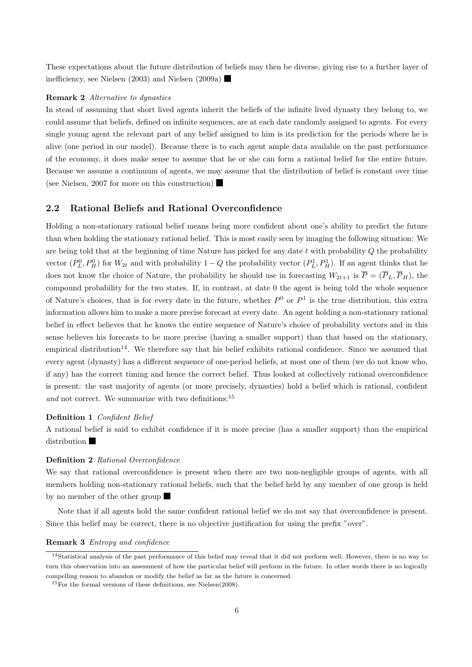These expectations about the future distribution of beliefs may then be diverse, giving rise to a further layer of inefficiency, see Nielsen (2003) and Nielsen (2009a)

## Remark 2 Alternative to dynasties

In stead of assuming that short lived agents inherit the beliefs of the infinite lived dynasty they belong to, we could assume that beliefs, defined on infinite sequences, are at each date randomly assigned to agents. For every single young agent the relevant part of any belief assigned to him is its prediction for the periods where he is alive (one period in our model). Because there is to each agent ample data available on the past performance of the economy, it does make sense to assume that he or she can form a rational belief for the entire future. Because we assume a continuum of agents, we may assume that the distribution of belief is constant over time (see Nielsen, 2007 for more on this construction)

## 2.2 Rational Beliefs and Rational Overconfidence

Holding a non-stationary rational belief means being more confident about one's ability to predict the future than when holding the stationary rational belief. This is most easily seen by imaging the following situation: We are being told that at the beginning of time Nature has picked for any date t with probability  $Q$  the probability vector  $(P_L^0, P_H^0)$  for  $W_{2t}$  and with probability 1 – Q the probability vector  $(P_L^1, P_H^1)$ . If an agent thinks that he does not know the choice of Nature, the probability he should use in forecasting  $W_{2t+1}$  is  $\overline{P} = (\overline{P}_L, \overline{P}_H)$ , the compound probability for the two states. If, in contrast, at date 0 the agent is being told the whole sequence of Nature's choices, that is for every date in the future, whether  $P^0$  or  $P^1$  is the true distribution, this extra information allows him to make a more precise forecast at every date. An agent holding a non-stationary rational belief in effect believes that he knows the entire sequence of Nature's choice of probability vectors and in this sense believes his forecasts to be more precise (having a smaller support) than that based on the stationary, empirical distribution<sup>14</sup>. We therefore say that his belief exhibits rational confidence. Since we assumed that every agent (dynasty) has a different sequence of one-period beliefs, at most one of them (we do not know who, if any) has the correct timing and hence the correct belief. Thus looked at collectively rational overconfidence is present: the vast majority of agents (or more precisely, dynasties) hold a belief which is rational, confident and not correct. We summarize with two definitions:<sup>15</sup>

#### Definition 1 Confident Belief

A rational belief is said to exhibit confidence if it is more precise (has a smaller support) than the empirical distribution

## Definition 2 Rational Overconfidence

We say that rational overconfidence is present when there are two non-negligible groups of agents, with all members holding non-stationary rational beliefs, such that the belief held by any member of one group is held by no member of the other group

Note that if all agents hold the same confident rational belief we do not say that overconfidence is present. Since this belief may be correct, there is no objective justification for using the prefix "over".

## Remark 3 Entropy and confidence

 $14$ Statistical analysis of the past performance of this belief may reveal that it did not perform well. However, there is no way to turn this observation into an assessment of how the particular belief will perform in the future. In other words there is no logically compelling reason to abandon or modify the belief as far as the future is concerned.

<sup>15</sup>For the formal versions of these definitions, see Nielsen(2008).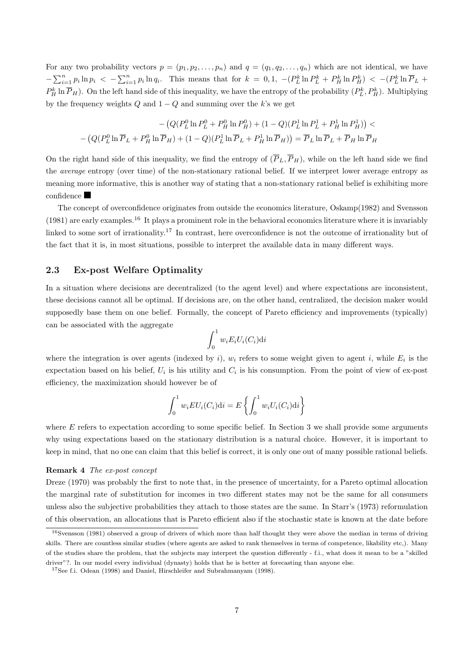For any two probability vectors  $p = (p_1, p_2, \ldots, p_n)$  and  $q = (q_1, q_2, \ldots, q_n)$  which are not identical, we have  $-\sum_{i=1}^n p_i \ln p_i$  <  $-\sum_{i=1}^n p_i \ln q_i$ . This means that for  $k = 0, 1$ ,  $-(P_L^k \ln P_L^k + P_H^k \ln P_H^k)$  <  $-(P_L^k \ln \overline{P}_L + P_H^k \ln P_H^k)$  $P_H^k \ln \overline{P}_H$ ). On the left hand side of this inequality, we have the entropy of the probability  $(P_L^k, P_H^k)$ . Multiplying by the frequency weights Q and  $1 - Q$  and summing over the k's we get

$$
-\left(Q(P_L^0 \ln P_L^0 + P_H^0 \ln P_H^0) + (1 - Q)(P_L^1 \ln P_L^1 + P_H^1 \ln P_H^1)\right) -\left(Q(P_L^0 \ln \overline{P}_L + P_H^0 \ln \overline{P}_H) + (1 - Q)(P_L^1 \ln \overline{P}_L + P_H^1 \ln \overline{P}_H)\right) = \overline{P}_L \ln \overline{P}_L + \overline{P}_H \ln \overline{P}_H
$$

On the right hand side of this inequality, we find the entropy of  $(\overline{P}_L, \overline{P}_H)$ , while on the left hand side we find the average entropy (over time) of the non-stationary rational belief. If we interpret lower average entropy as meaning more informative, this is another way of stating that a non-stationary rational belief is exhibiting more confidence

The concept of overconfidence originates from outside the economics literature, Oskamp(1982) and Svensson  $(1981)$  are early examples.<sup>16</sup> It plays a prominent role in the behavioral economics literature where it is invariably linked to some sort of irrationality.<sup>17</sup> In contrast, here overconfidence is not the outcome of irrationality but of the fact that it is, in most situations, possible to interpret the available data in many different ways.

## 2.3 Ex-post Welfare Optimality

In a situation where decisions are decentralized (to the agent level) and where expectations are inconsistent, these decisions cannot all be optimal. If decisions are, on the other hand, centralized, the decision maker would supposedly base them on one belief. Formally, the concept of Pareto efficiency and improvements (typically) can be associated with the aggregate

$$
\int_0^1 w_i E_i U_i(C_i) \mathrm{d} i
$$

where the integration is over agents (indexed by i),  $w_i$  refers to some weight given to agent i, while  $E_i$  is the expectation based on his belief,  $U_i$  is his utility and  $C_i$  is his consumption. From the point of view of ex-post efficiency, the maximization should however be of

$$
\int_0^1 w_i EU_i(C_i)di = E\left\{\int_0^1 w_i U_i(C_i)di\right\}
$$

where  $E$  refers to expectation according to some specific belief. In Section 3 we shall provide some arguments why using expectations based on the stationary distribution is a natural choice. However, it is important to keep in mind, that no one can claim that this belief is correct, it is only one out of many possible rational beliefs.

#### Remark 4 The ex-post concept

Dreze (1970) was probably the first to note that, in the presence of uncertainty, for a Pareto optimal allocation the marginal rate of substitution for incomes in two different states may not be the same for all consumers unless also the subjective probabilities they attach to those states are the same. In Starr's (1973) reformulation of this observation, an allocations that is Pareto efficient also if the stochastic state is known at the date before

 $16$ Svensson (1981) observed a group of drivers of which more than half thought they were above the median in terms of driving skills. There are countless similar studies (where agents are asked to rank themselves in terms of competence, likability etc,). Many of the studies share the problem, that the subjects may interpret the question differently - f.i., what does it mean to be a "skilled driver"?. In our model every individual (dynasty) holds that he is better at forecasting than anyone else.

<sup>17</sup>See f.i. Odean (1998) and Daniel, Hirschleifer and Subrahmanyam (1998).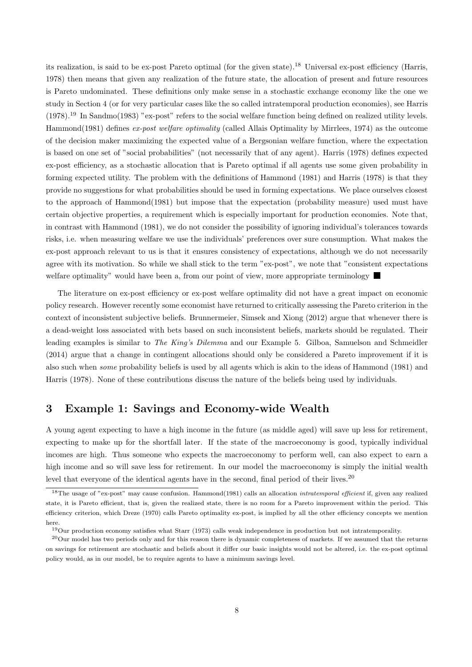its realization, is said to be ex-post Pareto optimal (for the given state).<sup>18</sup> Universal ex-post efficiency (Harris, 1978) then means that given any realization of the future state, the allocation of present and future resources is Pareto undominated. These definitions only make sense in a stochastic exchange economy like the one we study in Section 4 (or for very particular cases like the so called intratemporal production economies), see Harris (1978).<sup>19</sup> In Sandmo(1983) "ex-post" refers to the social welfare function being defined on realized utility levels. Hammond(1981) defines ex-post welfare optimality (called Allais Optimality by Mirrlees, 1974) as the outcome of the decision maker maximizing the expected value of a Bergsonian welfare function, where the expectation is based on one set of "social probabilities" (not necessarily that of any agent). Harris (1978) defines expected ex-post efficiency, as a stochastic allocation that is Pareto optimal if all agents use some given probability in forming expected utility. The problem with the definitions of Hammond (1981) and Harris (1978) is that they provide no suggestions for what probabilities should be used in forming expectations. We place ourselves closest to the approach of Hammond(1981) but impose that the expectation (probability measure) used must have certain objective properties, a requirement which is especially important for production economies. Note that, in contrast with Hammond (1981), we do not consider the possibility of ignoring individual's tolerances towards risks, i.e. when measuring welfare we use the individuals' preferences over sure consumption. What makes the ex-post approach relevant to us is that it ensures consistency of expectations, although we do not necessarily agree with its motivation. So while we shall stick to the term "ex-post", we note that "consistent expectations welfare optimality" would have been a, from our point of view, more appropriate terminology

The literature on ex-post efficiency or ex-post welfare optimality did not have a great impact on economic policy research. However recently some economist have returned to critically assessing the Pareto criterion in the context of inconsistent subjective beliefs. Brunnermeier, Simsek and Xiong (2012) argue that whenever there is a dead-weight loss associated with bets based on such inconsistent beliefs, markets should be regulated. Their leading examples is similar to *The King's Dilemma* and our Example 5. Gilboa, Samuelson and Schmeidler (2014) argue that a change in contingent allocations should only be considered a Pareto improvement if it is also such when some probability beliefs is used by all agents which is akin to the ideas of Hammond (1981) and Harris (1978). None of these contributions discuss the nature of the beliefs being used by individuals.

## 3 Example 1: Savings and Economy-wide Wealth

A young agent expecting to have a high income in the future (as middle aged) will save up less for retirement, expecting to make up for the shortfall later. If the state of the macroeconomy is good, typically individual incomes are high. Thus someone who expects the macroeconomy to perform well, can also expect to earn a high income and so will save less for retirement. In our model the macroeconomy is simply the initial wealth level that everyone of the identical agents have in the second, final period of their lives.<sup>20</sup>

<sup>&</sup>lt;sup>18</sup>The usage of "ex-post" may cause confusion. Hammond(1981) calls an allocation *intratemporal efficient* if, given any realized state, it is Pareto efficient, that is, given the realized state, there is no room for a Pareto improvement within the period. This efficiency criterion, which Dreze (1970) calls Pareto optimality ex-post, is implied by all the other efficiency concepts we mention here.

<sup>19</sup>Our production economy satisfies what Starr (1973) calls weak independence in production but not intratemporality.

 $^{20}$ Our model has two periods only and for this reason there is dynamic completeness of markets. If we assumed that the returns on savings for retirement are stochastic and beliefs about it differ our basic insights would not be altered, i.e. the ex-post optimal policy would, as in our model, be to require agents to have a minimum savings level.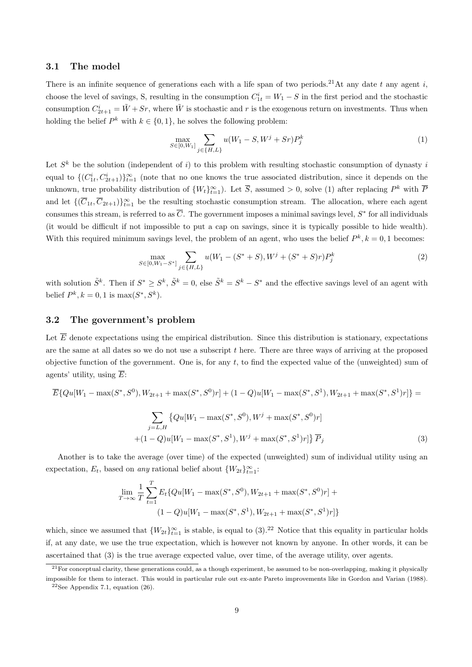## 3.1 The model

There is an infinite sequence of generations each with a life span of two periods.<sup>21</sup>At any date t any agent i, choose the level of savings, S, resulting in the consumption  $C_{1t}^{i} = W_1 - S$  in the first period and the stochastic consumption  $C_{2t+1}^i = \tilde{W} + Sr$ , where  $\tilde{W}$  is stochastic and r is the exogenous return on investments. Thus when holding the belief  $P^k$  with  $k \in \{0,1\}$ , he solves the following problem:

$$
\max_{S \in [0, W_1]} \sum_{j \in \{H, L\}} u(W_1 - S, W^j + Sr) P_j^k \tag{1}
$$

Let  $S^k$  be the solution (independent of i) to this problem with resulting stochastic consumption of dynasty i equal to  $\{(C_{1t}^i, C_{2t+1}^i)\}_{t=1}^{\infty}$  (note that no one knows the true associated distribution, since it depends on the unknown, true probability distribution of  $\{W_t\}_{t=1}^{\infty}$ ). Let  $\overline{S}$ , assumed > 0, solve (1) after replacing  $P^k$  with  $\overline{P}$ and let  $\{(\overline{C}_{1t}, \overline{C}_{2t+1})\}_{t=1}^{\infty}$  be the resulting stochastic consumption stream. The allocation, where each agent consumes this stream, is referred to as  $\overline{C}$ . The government imposes a minimal savings level,  $S^*$  for all individuals (it would be difficult if not impossible to put a cap on savings, since it is typically possible to hide wealth). With this required minimum savings level, the problem of an agent, who uses the belief  $P^k$ ,  $k = 0, 1$  becomes:

$$
\max_{S \in [0, W_1 - S^*]} \sum_{j \in \{H, L\}} u(W_1 - (S^* + S), W^j + (S^* + S)r)P_j^k
$$
\n(2)

with solution  $\tilde{S}^k$ . Then if  $S^* \geq S^k$ ,  $\tilde{S}^k = 0$ , else  $\tilde{S}^k = S^k - S^*$  and the effective savings level of an agent with belief  $P^k, k = 0, 1$  is  $\max(S^*, S^k)$ .

## 3.2 The government's problem

Let  $\overline{E}$  denote expectations using the empirical distribution. Since this distribution is stationary, expectations are the same at all dates so we do not use a subscript t here. There are three ways of arriving at the proposed objective function of the government. One is, for any  $t$ , to find the expected value of the (unweighted) sum of agents' utility, using  $\overline{E}$ :

$$
\overline{E}\{Qu[W_1 - \max(S^*, S^0), W_{2t+1} + \max(S^*, S^0)r] + (1 - Q)u[W_1 - \max(S^*, S^1), W_{2t+1} + \max(S^*, S^1)r]\} = \sum_{j=L,H} \{Qu[W_1 - \max(S^*, S^0), W^j + \max(S^*, S^0)r] + (1 - Q)u[W_1 - \max(S^*, S^1), W^j + \max(S^*, S^1)r]\} \overline{P}_j
$$
\n(3)

Another is to take the average (over time) of the expected (unweighted) sum of individual utility using an expectation,  $E_t$ , based on any rational belief about  $\{W_{2t}\}_{t=1}^{\infty}$ :

$$
\lim_{T \to \infty} \frac{1}{T} \sum_{t=1}^{T} E_t \{ Qu[W_1 - \max(S^*, S^0), W_{2t+1} + \max(S^*, S^0)r] + (1 - Q)u[W_1 - \max(S^*, S^1), W_{2t+1} + \max(S^*, S^1)r] \}
$$

which, since we assumed that  ${W_{2t}}_{t=1}^{\infty}$  is stable, is equal to  $(3).^{22}$  Notice that this equality in particular holds if, at any date, we use the true expectation, which is however not known by anyone. In other words, it can be ascertained that (3) is the true average expected value, over time, of the average utility, over agents.

 $^{21}$  For conceptual clarity, these generations could, as a though experiment, be assumed to be non-overlapping, making it physically impossible for them to interact. This would in particular rule out ex-ante Pareto improvements like in Gordon and Varian (1988).

 $22$ See Appendix 7.1, equation (26).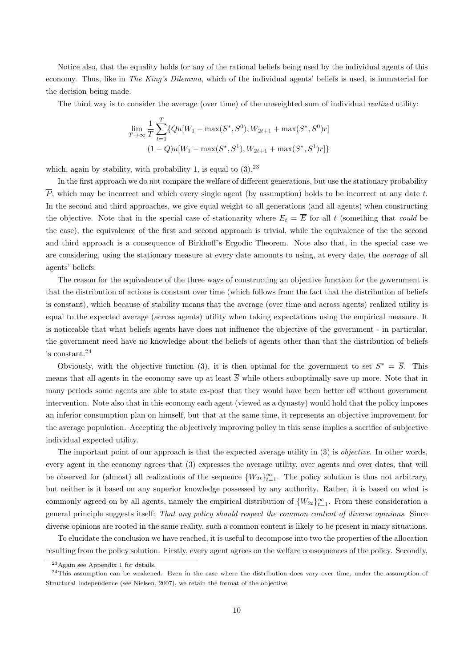Notice also, that the equality holds for any of the rational beliefs being used by the individual agents of this economy. Thus, like in The King's Dilemma, which of the individual agents' beliefs is used, is immaterial for the decision being made.

The third way is to consider the average (over time) of the unweighted sum of individual realized utility:

$$
\lim_{T \to \infty} \frac{1}{T} \sum_{t=1}^{T} \{ Qu[W_1 - \max(S^*, S^0), W_{2t+1} + \max(S^*, S^0)r] \\ (1 - Q)u[W_1 - \max(S^*, S^1), W_{2t+1} + \max(S^*, S^1)r] \}
$$

which, again by stability, with probability 1, is equal to  $(3)$ .<sup>23</sup>

In the first approach we do not compare the welfare of different generations, but use the stationary probability  $\overline{P}$ , which may be incorrect and which every single agent (by assumption) holds to be incorrect at any date t. In the second and third approaches, we give equal weight to all generations (and all agents) when constructing the objective. Note that in the special case of stationarity where  $E_t = \overline{E}$  for all t (something that could be the case), the equivalence of the first and second approach is trivial, while the equivalence of the the second and third approach is a consequence of Birkhoff's Ergodic Theorem. Note also that, in the special case we are considering, using the stationary measure at every date amounts to using, at every date, the average of all agents' beliefs.

The reason for the equivalence of the three ways of constructing an objective function for the government is that the distribution of actions is constant over time (which follows from the fact that the distribution of beliefs is constant), which because of stability means that the average (over time and across agents) realized utility is equal to the expected average (across agents) utility when taking expectations using the empirical measure. It is noticeable that what beliefs agents have does not influence the objective of the government - in particular, the government need have no knowledge about the beliefs of agents other than that the distribution of beliefs is constant.<sup>24</sup>

Obviously, with the objective function (3), it is then optimal for the government to set  $S^* = \overline{S}$ . This means that all agents in the economy save up at least  $\overline{S}$  while others suboptimally save up more. Note that in many periods some agents are able to state ex-post that they would have been better off without government intervention. Note also that in this economy each agent (viewed as a dynasty) would hold that the policy imposes an inferior consumption plan on himself, but that at the same time, it represents an objective improvement for the average population. Accepting the objectively improving policy in this sense implies a sacrifice of subjective individual expected utility.

The important point of our approach is that the expected average utility in (3) is *objective*. In other words, every agent in the economy agrees that (3) expresses the average utility, over agents and over dates, that will be observed for (almost) all realizations of the sequence  $\{W_{2t}\}_{t=1}^{\infty}$ . The policy solution is thus not arbitrary, but neither is it based on any superior knowledge possessed by any authority. Rather, it is based on what is commonly agreed on by all agents, namely the empirical distribution of  $\{W_{2t}\}_{t=1}^{\infty}$ . From these consideration a general principle suggests itself: That any policy should respect the common content of diverse opinions. Since diverse opinions are rooted in the same reality, such a common content is likely to be present in many situations.

To elucidate the conclusion we have reached, it is useful to decompose into two the properties of the allocation resulting from the policy solution. Firstly, every agent agrees on the welfare consequences of the policy. Secondly,

<sup>23</sup>Again see Appendix 1 for details.

 $24$ This assumption can be weakened. Even in the case where the distribution does vary over time, under the assumption of Structural Independence (see Nielsen, 2007), we retain the format of the objective.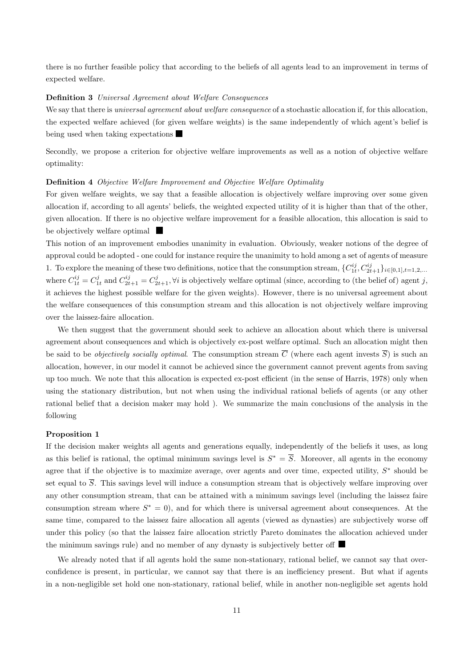there is no further feasible policy that according to the beliefs of all agents lead to an improvement in terms of expected welfare.

## Definition 3 Universal Agreement about Welfare Consequences

We say that there is *universal agreement about welfare consequence* of a stochastic allocation if, for this allocation, the expected welfare achieved (for given welfare weights) is the same independently of which agent's belief is being used when taking expectations

Secondly, we propose a criterion for objective welfare improvements as well as a notion of objective welfare optimality:

## Definition 4 Objective Welfare Improvement and Objective Welfare Optimality

For given welfare weights, we say that a feasible allocation is objectively welfare improving over some given allocation if, according to all agents' beliefs, the weighted expected utility of it is higher than that of the other, given allocation. If there is no objective welfare improvement for a feasible allocation, this allocation is said to be objectively welfare optimal

This notion of an improvement embodies unanimity in evaluation. Obviously, weaker notions of the degree of approval could be adopted - one could for instance require the unanimity to hold among a set of agents of measure 1. To explore the meaning of these two definitions, notice that the consumption stream,  ${C}_{1t}^{ij}$ ,  $C_{2t+1}^{ij}$ ,  $_{i\in[0,1],t=1,2,...}$ where  $C_{1t}^{ij} = C_{1t}^j$  and  $C_{2t+1}^{ij} = C_{2t+1}^j$ ,  $\forall i$  is objectively welfare optimal (since, according to (the belief of) agent j, it achieves the highest possible welfare for the given weights). However, there is no universal agreement about the welfare consequences of this consumption stream and this allocation is not objectively welfare improving over the laissez-faire allocation.

We then suggest that the government should seek to achieve an allocation about which there is universal agreement about consequences and which is objectively ex-post welfare optimal. Such an allocation might then be said to be *objectively socially optimal*. The consumption stream  $\overline{C}$  (where each agent invests  $\overline{S}$ ) is such an allocation, however, in our model it cannot be achieved since the government cannot prevent agents from saving up too much. We note that this allocation is expected ex-post efficient (in the sense of Harris, 1978) only when using the stationary distribution, but not when using the individual rational beliefs of agents (or any other rational belief that a decision maker may hold ). We summarize the main conclusions of the analysis in the following

#### Proposition 1

If the decision maker weights all agents and generations equally, independently of the beliefs it uses, as long as this belief is rational, the optimal minimum savings level is  $S^* = \overline{S}$ . Moreover, all agents in the economy agree that if the objective is to maximize average, over agents and over time, expected utility,  $S^*$  should be set equal to  $\overline{S}$ . This savings level will induce a consumption stream that is objectively welfare improving over any other consumption stream, that can be attained with a minimum savings level (including the laissez faire consumption stream where  $S^* = 0$ , and for which there is universal agreement about consequences. At the same time, compared to the laissez faire allocation all agents (viewed as dynasties) are subjectively worse off under this policy (so that the laissez faire allocation strictly Pareto dominates the allocation achieved under the minimum savings rule) and no member of any dynasty is subjectively better off

We already noted that if all agents hold the same non-stationary, rational belief, we cannot say that overconfidence is present, in particular, we cannot say that there is an inefficiency present. But what if agents in a non-negligible set hold one non-stationary, rational belief, while in another non-negligible set agents hold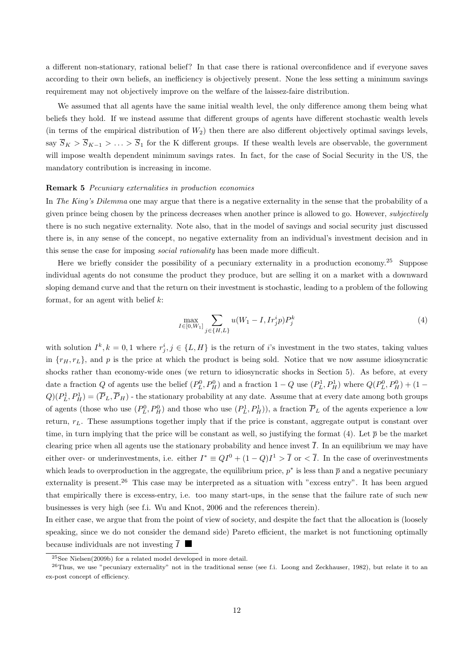a different non-stationary, rational belief? In that case there is rational overconfidence and if everyone saves according to their own beliefs, an inefficiency is objectively present. None the less setting a minimum savings requirement may not objectively improve on the welfare of the laissez-faire distribution.

We assumed that all agents have the same initial wealth level, the only difference among them being what beliefs they hold. If we instead assume that different groups of agents have different stochastic wealth levels (in terms of the empirical distribution of  $W_2$ ) then there are also different objectively optimal savings levels, say  $\overline{S}_K > \overline{S}_{K-1} > \ldots > \overline{S}_1$  for the K different groups. If these wealth levels are observable, the government will impose wealth dependent minimum savings rates. In fact, for the case of Social Security in the US, the mandatory contribution is increasing in income.

### Remark 5 Pecuniary externalities in production economies

In The King's Dilemma one may argue that there is a negative externality in the sense that the probability of a given prince being chosen by the princess decreases when another prince is allowed to go. However, subjectively there is no such negative externality. Note also, that in the model of savings and social security just discussed there is, in any sense of the concept, no negative externality from an individual's investment decision and in this sense the case for imposing social rationality has been made more difficult.

Here we briefly consider the possibility of a pecuniary externality in a production economy.<sup>25</sup> Suppose individual agents do not consume the product they produce, but are selling it on a market with a downward sloping demand curve and that the return on their investment is stochastic, leading to a problem of the following format, for an agent with belief  $k$ :

$$
\max_{I \in [0, W_1]} \sum_{j \in \{H, L\}} u(W_1 - I, Ir_j^i p) P_j^k \tag{4}
$$

with solution  $I^k, k = 0, 1$  where  $r_j^i, j \in \{L, H\}$  is the return of i's investment in the two states, taking values in  $\{r_H, r_L\}$ , and p is the price at which the product is being sold. Notice that we now assume idiosyncratic shocks rather than economy-wide ones (we return to idiosyncratic shocks in Section 5). As before, at every date a fraction Q of agents use the belief  $(P_L^0, P_H^0)$  and a fraction  $1 - Q$  use  $(P_L^1, P_H^1)$  where  $Q(P_L^0, P_H^0) + (1 - Q_H^0)$  $Q(P_L^1, P_H^1) = (\overline{P}_L, \overline{P}_H)$  - the stationary probability at any date. Assume that at every date among both groups of agents (those who use  $(P_L^0, P_H^0)$  and those who use  $(P_L^1, P_H^1)$ ), a fraction  $\overline{P}_L$  of the agents experience a low return,  $r<sub>L</sub>$ . These assumptions together imply that if the price is constant, aggregate output is constant over time, in turn implying that the price will be constant as well, so justifying the format (4). Let  $\bar{p}$  be the market clearing price when all agents use the stationary probability and hence invest  $\overline{I}$ . In an equilibrium we may have either over- or underinvestments, i.e. either  $I^* \equiv QI^0 + (1 - Q)I^1 > \overline{I}$  or  $\langle \overline{I} \rangle$ . In the case of overinvestments which leads to overproduction in the aggregate, the equilibrium price,  $p^*$  is less than  $\bar{p}$  and a negative pecuniary externality is present.<sup>26</sup> This case may be interpreted as a situation with "excess entry". It has been argued that empirically there is excess-entry, i.e. too many start-ups, in the sense that the failure rate of such new businesses is very high (see f.i. Wu and Knot, 2006 and the references therein).

In either case, we argue that from the point of view of society, and despite the fact that the allocation is (loosely speaking, since we do not consider the demand side) Pareto efficient, the market is not functioning optimally because individuals are not investing  $\overline{I}$ 

<sup>25</sup>See Nielsen(2009b) for a related model developed in more detail.

 $^{26}$ Thus, we use "pecuniary externality" not in the traditional sense (see f.i. Loong and Zeckhauser, 1982), but relate it to an ex-post concept of efficiency.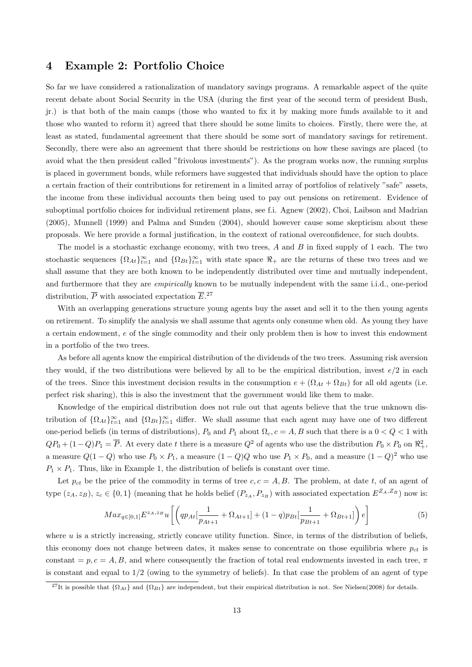## 4 Example 2: Portfolio Choice

So far we have considered a rationalization of mandatory savings programs. A remarkable aspect of the quite recent debate about Social Security in the USA (during the first year of the second term of president Bush, jr.) is that both of the main camps (those who wanted to fix it by making more funds available to it and those who wanted to reform it) agreed that there should be some limits to choices. Firstly, there were the, at least as stated, fundamental agreement that there should be some sort of mandatory savings for retirement. Secondly, there were also an agreement that there should be restrictions on how these savings are placed (to avoid what the then president called "frivolous investments"). As the program works now, the running surplus is placed in government bonds, while reformers have suggested that individuals should have the option to place a certain fraction of their contributions for retirement in a limited array of portfolios of relatively "safe" assets, the income from these individual accounts then being used to pay out pensions on retirement. Evidence of suboptimal portfolio choices for individual retirement plans, see f.i. Agnew (2002), Choi, Laibson and Madrian (2005), Munnell (1999) and Palma and Sunden (2004), should however cause some skepticism about these proposals. We here provide a formal justification, in the context of rational overconfidence, for such doubts.

The model is a stochastic exchange economy, with two trees,  $A$  and  $B$  in fixed supply of 1 each. The two stochastic sequences  $\{\Omega_{At}\}_{t=1}^{\infty}$  and  $\{\Omega_{Bt}\}_{t=1}^{\infty}$  with state space  $\Re_{+}$  are the returns of these two trees and we shall assume that they are both known to be independently distributed over time and mutually independent, and furthermore that they are *empirically* known to be mutually independent with the same i.i.d., one-period distribution,  $\overline{P}$  with associated expectation  $\overline{E}$ .<sup>27</sup>

With an overlapping generations structure young agents buy the asset and sell it to the then young agents on retirement. To simplify the analysis we shall assume that agents only consume when old. As young they have a certain endowment, e of the single commodity and their only problem then is how to invest this endowment in a portfolio of the two trees.

As before all agents know the empirical distribution of the dividends of the two trees. Assuming risk aversion they would, if the two distributions were believed by all to be the empirical distribution, invest  $e/2$  in each of the trees. Since this investment decision results in the consumption  $e + (\Omega_{At} + \Omega_{Bt})$  for all old agents (i.e. perfect risk sharing), this is also the investment that the government would like them to make.

Knowledge of the empirical distribution does not rule out that agents believe that the true unknown distribution of  $\{\Omega_{At}\}_{t=1}^{\infty}$  and  $\{\Omega_{Bt}\}_{t=1}^{\infty}$  differ. We shall assume that each agent may have one of two different one-period beliefs (in terms of distributions),  $P_0$  and  $P_1$  about  $\Omega_c$ ,  $c = A, B$  such that there is a  $0 < Q < 1$  with  $QP_0 + (1 - Q)P_1 = \overline{P}$ . At every date t there is a measure  $Q^2$  of agents who use the distribution  $P_0 \times P_0$  on  $\mathbb{R}^2_+$ , a measure  $Q(1-Q)$  who use  $P_0 \times P_1$ , a measure  $(1-Q)Q$  who use  $P_1 \times P_0$ , and a measure  $(1-Q)^2$  who use  $P_1 \times P_1$ . Thus, like in Example 1, the distribution of beliefs is constant over time.

Let  $p_{ct}$  be the price of the commodity in terms of tree  $c, c = A, B$ . The problem, at date t, of an agent of type  $(z_A, z_B)$ ,  $z_c \in \{0, 1\}$  (meaning that he holds belief  $(P_{z_A}, P_{z_B})$  with associated expectation  $E^{Z_A, Z_B}$ ) now is:

$$
Max_{q\in[0,1]}E^{z_{A},z_{B}}u\left[\left(qp_{At}[\frac{1}{p_{At+1}}+\Omega_{At+1}]+(1-q)p_{Bt}[\frac{1}{p_{Bt+1}}+\Omega_{Bt+1}]\right)e\right]
$$
(5)

where  $u$  is a strictly increasing, strictly concave utility function. Since, in terms of the distribution of beliefs, this economy does not change between dates, it makes sense to concentrate on those equilibria where  $p_{ct}$  is constant =  $p, c = A, B$ , and where consequently the fraction of total real endowments invested in each tree,  $\pi$ is constant and equal to 1/2 (owing to the symmetry of beliefs). In that case the problem of an agent of type

<sup>&</sup>lt;sup>27</sup>It is possible that  $\{\Omega_{At}\}$  and  $\{\Omega_{Bt}\}$  are independent, but their empirical distribution is not. See Nielsen(2008) for details.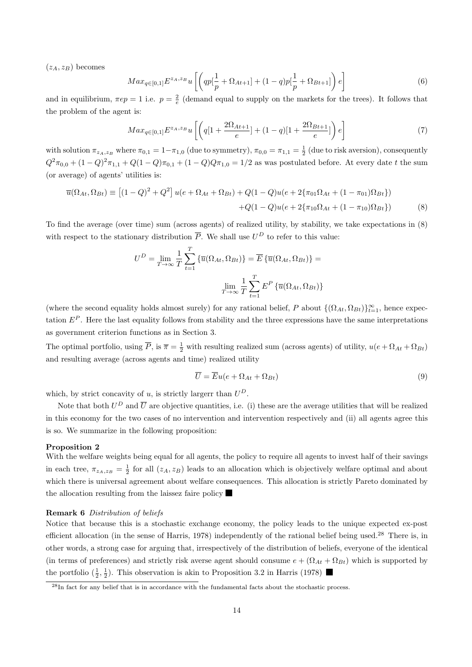$(z_A, z_B)$  becomes

$$
Max_{q\in[0,1]}E^{z_{A},z_{B}}u\left[\left(qp\left[\frac{1}{p}+\Omega_{At+1}\right]+(1-q)p\left[\frac{1}{p}+\Omega_{Bt+1}\right]\right)e\right]
$$
(6)

and in equilibrium,  $\pi ep = 1$  i.e.  $p = \frac{2}{e}$  (demand equal to supply on the markets for the trees). It follows that the problem of the agent is:

$$
Max_{q\in[0,1]}E^{z_A,z_B}u\left[\left(q[1+\frac{2\Omega_{At+1}}{e}]+(1-q)[1+\frac{2\Omega_{Bt+1}}{e}]\right)e\right]
$$
\n(7)

with solution  $\pi_{z_A,z_B}$  where  $\pi_{0,1} = 1 - \pi_{1,0}$  (due to symmetry),  $\pi_{0,0} = \pi_{1,1} = \frac{1}{2}$  (due to risk aversion), consequently  $Q^2\pi_{0,0} + (1-Q)^2\pi_{1,1} + Q(1-Q)\pi_{0,1} + (1-Q)Q\pi_{1,0} = 1/2$  as was postulated before. At every date t the sum (or average) of agents' utilities is:

$$
\overline{u}(\Omega_{At}, \Omega_{Bt}) \equiv \left[ (1 - Q)^2 + Q^2 \right] u(e + \Omega_{At} + \Omega_{Bt}) + Q(1 - Q)u(e + 2\{\pi_{01}\Omega_{At} + (1 - \pi_{01})\Omega_{Bt}\})
$$

$$
+ Q(1 - Q)u(e + 2\{\pi_{10}\Omega_{At} + (1 - \pi_{10})\Omega_{Bt}\})
$$
(8)

To find the average (over time) sum (across agents) of realized utility, by stability, we take expectations in (8) with respect to the stationary distribution  $\overline{P}$ . We shall use  $U^D$  to refer to this value:

$$
U^{D} = \lim_{T \to \infty} \frac{1}{T} \sum_{t=1}^{T} \left\{ \overline{u}(\Omega_{At}, \Omega_{Bt}) \right\} = \overline{E} \left\{ \overline{u}(\Omega_{At}, \Omega_{Bt}) \right\} =
$$

$$
\lim_{T \to \infty} \frac{1}{T} \sum_{t=1}^{T} E^{P} \left\{ \overline{u}(\Omega_{At}, \Omega_{Bt}) \right\}
$$

(where the second equality holds almost surely) for any rational belief, P about  $\{(\Omega_{At}, \Omega_{Bt})\}_{t=1}^{\infty}$ , hence expectation  $E^P$ . Here the last equality follows from stability and the three expressions have the same interpretations as government criterion functions as in Section 3.

The optimal portfolio, using  $\overline{P}$ , is  $\overline{\pi} = \frac{1}{2}$  with resulting realized sum (across agents) of utility,  $u(e + \Omega_{At} + \Omega_{Bt})$ and resulting average (across agents and time) realized utility

$$
\overline{U} = \overline{E}u(e + \Omega_{At} + \Omega_{Bt})
$$
\n(9)

which, by strict concavity of u, is strictly largerr than  $U^D$ .

Note that both  $U^D$  and  $\overline{U}$  are objective quantities, i.e. (i) these are the average utilities that will be realized in this economy for the two cases of no intervention and intervention respectively and (ii) all agents agree this is so. We summarize in the following proposition:

#### Proposition 2

With the welfare weights being equal for all agents, the policy to require all agents to invest half of their savings in each tree,  $\pi_{z_A,z_B} = \frac{1}{2}$  for all  $(z_A, z_B)$  leads to an allocation which is objectively welfare optimal and about which there is universal agreement about welfare consequences. This allocation is strictly Pareto dominated by the allocation resulting from the laissez faire policy

#### Remark 6 Distribution of beliefs

Notice that because this is a stochastic exchange economy, the policy leads to the unique expected ex-post efficient allocation (in the sense of Harris, 1978) independently of the rational belief being used.<sup>28</sup> There is, in other words, a strong case for arguing that, irrespectively of the distribution of beliefs, everyone of the identical (in terms of preferences) and strictly risk averse agent should consume  $e + (\Omega_{At} + \Omega_{Bt})$  which is supported by the portfolio  $(\frac{1}{2}, \frac{1}{2})$ . This observation is akin to Proposition 3.2 in Harris (1978)

<sup>28</sup>In fact for any belief that is in accordance with the fundamental facts about the stochastic process.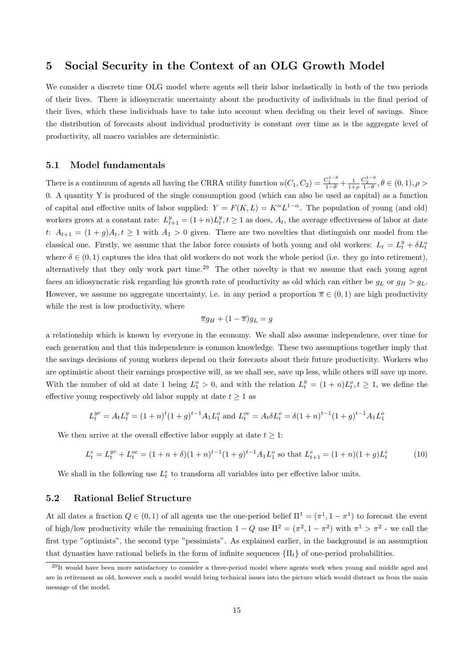## 5 Social Security in the Context of an OLG Growth Model

We consider a discrete time OLG model where agents sell their labor inelastically in both of the two periods of their lives. There is idiosyncratic uncertainty about the productivity of individuals in the final period of their lives, which these individuals have to take into account when deciding on their level of savings. Since the distribution of forecasts about individual productivity is constant over time as is the aggregate level of productivity, all macro variables are deterministic.

## 5.1 Model fundamentals

There is a continuum of agents all having the CRRA utility function  $u(C_1, C_2) = \frac{C_1^{1-\theta}}{1-\theta} + \frac{1}{1+\rho}$  $\frac{C_2^{1-\theta}}{1-\theta}, \theta \in (0,1), \rho >$ 0. A quantity Y is produced of the single consumption good (which can also be used as capital) as a function of capital and effective units of labor supplied:  $Y = F(K, L) = K^{\alpha} L^{1-\alpha}$ . The population of young (and old) workers grows at a constant rate:  $L_{t+1}^y = (1+n)L_t^y$ ,  $t \ge 1$  as does,  $A_t$ , the average effectiveness of labor at date t:  $A_{t+1} = (1+g)A_t, t \ge 1$  with  $A_1 > 0$  given. There are two novelties that distinguish our model from the classical one. Firstly, we assume that the labor force consists of both young and old workers:  $L_t = L_t^y + \delta L_t^c$ where  $\delta \in (0, 1)$  captures the idea that old workers do not work the whole period (i.e. they go into retirement), alternatively that they only work part time.<sup>29</sup> The other novelty is that we assume that each young agent faces an idiosyncratic risk regarding his growth rate of productivity as old which can either be  $g_L$  or  $g_H > g_L$ . However, we assume no aggregate uncertainty, i.e. in any period a proportion  $\overline{\pi} \in (0,1)$  are high productivity while the rest is low productivity, where

$$
\overline{\pi}g_H + (1 - \overline{\pi})g_L = g
$$

a relationship which is known by everyone in the economy. We shall also assume independence, over time for each generation and that this independence is common knowledge. These two assumptions together imply that the savings decisions of young workers depend on their forecasts about their future productivity. Workers who are optimistic about their earnings prospective will, as we shall see, save up less, while others will save up more. With the number of old at date 1 being  $L_1^o > 0$ , and with the relation  $L_t^y = (1 + n)L_t^o, t \ge 1$ , we define the effective young respectively old labor supply at date  $t \geq 1$  as

$$
L_t^{ye} = A_t L_t^y = (1+n)^t (1+g)^{t-1} A_1 L_1^o
$$
 and  $L_t^{oe} = A_t \delta L_t^o = \delta (1+n)^{t-1} (1+g)^{t-1} A_1 L_1^o$ 

We then arrive at the overall effective labor supply at date  $t \geq 1$ :

$$
L_t^e = L_t^{ye} + L_t^{oe} = (1 + n + \delta)(1 + n)^{t-1}(1 + g)^{t-1}A_1L_1^o \text{ so that } L_{t+1}^e = (1 + n)(1 + g)L_t^e \tag{10}
$$

We shall in the following use  $L_t^e$  to transform all variables into per effective labor units.

## 5.2 Rational Belief Structure

At all dates a fraction  $Q \in (0,1)$  of all agents use the one-period belief  $\Pi^1 = (\pi^1, 1 - \pi^1)$  to forecast the event of high/low productivity while the remaining fraction  $1 - Q$  use  $\Pi^2 = (\pi^2, 1 - \pi^2)$  with  $\pi^1 > \pi^2$  - we call the first type "optimists", the second type "pessimists". As explained earlier, in the background is an assumption that dynasties have rational beliefs in the form of infinite sequences  $\{\Pi_t\}$  of one-period probabilities.

 $^{29}$ It would have been more satisfactory to consider a three-period model where agents work when young and middle aged and are in retirement as old, however such a model would bring technical issues into the picture which would distract us from the main message of the model.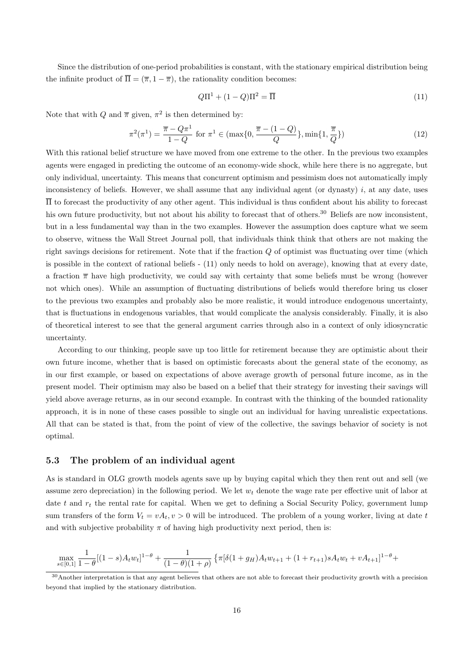Since the distribution of one-period probabilities is constant, with the stationary empirical distribution being the infinite product of  $\overline{\Pi} = (\overline{\pi}, 1 - \overline{\pi})$ , the rationality condition becomes:

$$
Q\Pi^1 + (1 - Q)\Pi^2 = \overline{\Pi}
$$
\n(11)

Note that with Q and  $\bar{\pi}$  given,  $\pi^2$  is then determined by:

$$
\pi^{2}(\pi^{1}) = \frac{\overline{\pi} - Q\pi^{1}}{1 - Q} \text{ for } \pi^{1} \in (\max\{0, \frac{\overline{\pi} - (1 - Q)}{Q}\}, \min\{1, \frac{\overline{\pi}}{Q}\})
$$
(12)

With this rational belief structure we have moved from one extreme to the other. In the previous two examples agents were engaged in predicting the outcome of an economy-wide shock, while here there is no aggregate, but only individual, uncertainty. This means that concurrent optimism and pessimism does not automatically imply inconsistency of beliefs. However, we shall assume that any individual agent (or dynasty)  $i$ , at any date, uses  $\overline{\Pi}$  to forecast the productivity of any other agent. This individual is thus confident about his ability to forecast his own future productivity, but not about his ability to forecast that of others.<sup>30</sup> Beliefs are now inconsistent, but in a less fundamental way than in the two examples. However the assumption does capture what we seem to observe, witness the Wall Street Journal poll, that individuals think think that others are not making the right savings decisions for retirement. Note that if the fraction  $Q$  of optimist was fluctuating over time (which is possible in the context of rational beliefs - (11) only needs to hold on average), knowing that at every date, a fraction  $\bar{\pi}$  have high productivity, we could say with certainty that some beliefs must be wrong (however not which ones). While an assumption of fluctuating distributions of beliefs would therefore bring us closer to the previous two examples and probably also be more realistic, it would introduce endogenous uncertainty, that is fluctuations in endogenous variables, that would complicate the analysis considerably. Finally, it is also of theoretical interest to see that the general argument carries through also in a context of only idiosyncratic uncertainty.

According to our thinking, people save up too little for retirement because they are optimistic about their own future income, whether that is based on optimistic forecasts about the general state of the economy, as in our first example, or based on expectations of above average growth of personal future income, as in the present model. Their optimism may also be based on a belief that their strategy for investing their savings will yield above average returns, as in our second example. In contrast with the thinking of the bounded rationality approach, it is in none of these cases possible to single out an individual for having unrealistic expectations. All that can be stated is that, from the point of view of the collective, the savings behavior of society is not optimal.

## 5.3 The problem of an individual agent

As is standard in OLG growth models agents save up by buying capital which they then rent out and sell (we assume zero depreciation) in the following period. We let  $w_t$  denote the wage rate per effective unit of labor at date t and  $r_t$  the rental rate for capital. When we get to defining a Social Security Policy, government lump sum transfers of the form  $V_t = vA_t, v > 0$  will be introduced. The problem of a young worker, living at date t and with subjective probability  $\pi$  of having high productivity next period, then is:

$$
\max_{s \in [0,1]} \frac{1}{1-\theta} [(1-s)A_t w_t]^{1-\theta} + \frac{1}{(1-\theta)(1+\rho)} \left\{ \pi [\delta(1+g_H)A_t w_{t+1} + (1+r_{t+1})sA_t w_t + vA_{t+1}]^{1-\theta} + \right\}
$$

<sup>&</sup>lt;sup>30</sup> Another interpretation is that any agent believes that others are not able to forecast their productivity growth with a precision beyond that implied by the stationary distribution.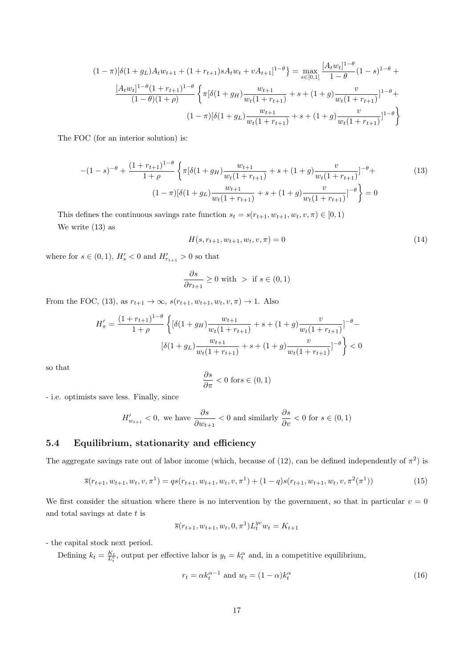$$
(1 - \pi)[\delta(1 + g_L)A_t w_{t+1} + (1 + r_{t+1})sA_t w_t + vA_{t+1}]^{1-\theta}] = \max_{s \in [0,1]} \frac{[A_t w_t]^{1-\theta}}{1-\theta} (1-s)^{1-\theta} + \frac{[A_t w_t]^{1-\theta}(1 + r_{t+1})^{1-\theta}}{(1-\theta)(1+\rho)} \left\{ \pi[\delta(1 + g_H) \frac{w_{t+1}}{w_t(1 + r_{t+1})} + s + (1 + g) \frac{v}{w_t(1 + r_{t+1})}]^{1-\theta} + \frac{v}{(1 - \pi)[\delta(1 + g_L) \frac{w_{t+1}}{w_t(1 + r_{t+1})} + s + (1 + g) \frac{v}{w_t(1 + r_{t+1})}]^{1-\theta} \right\}
$$

The FOC (for an interior solution) is:

$$
-(1-s)^{-\theta} + \frac{(1+r_{t+1})^{1-\theta}}{1+\rho} \left\{ \pi[\delta(1+g_H) \frac{w_{t+1}}{w_t(1+r_{t+1})} + s + (1+g) \frac{v}{w_t(1+r_{t+1})}]^{-\theta} + (1- \pi)[\delta(1+g_L) \frac{w_{t+1}}{w_t(1+r_{t+1})} + s + (1+g) \frac{v}{w_t(1+r_{t+1})}]^{-\theta} \right\} = 0
$$
\n(13)

This defines the continuous savings rate function  $s_t = s(r_{t+1}, w_{t+1}, w_t, v, \pi) \in [0, 1)$ We write  $(13)$  as

$$
H(s, r_{t+1}, w_{t+1}, w_t, v, \pi) = 0
$$
\n(14)

where for  $s \in (0, 1)$ ,  $H'_{s} < 0$  and  $H'_{r_{t+1}} > 0$  so that

$$
\frac{\partial s}{\partial r_{t+1}} \ge 0 \text{ with } > \text{ if } s \in (0,1)
$$

From the FOC, (13), as  $r_{t+1} \to \infty$ ,  $s(r_{t+1}, w_{t+1}, w_t, v, \pi) \to 1$ . Also

$$
H'_{\pi} = \frac{(1 + r_{t+1})^{1-\theta}}{1+\rho} \left\{ \left[ \delta(1+g_H) \frac{w_{t+1}}{w_t(1+r_{t+1})} + s + (1+g) \frac{v}{w_t(1+r_{t+1})} \right]^{-\theta} - \left[ \delta(1+g_L) \frac{w_{t+1}}{w_t(1+r_{t+1})} + s + (1+g) \frac{v}{w_t(1+r_{t+1})} \right]^{-\theta} \right\} < 0
$$

so that

$$
\frac{\partial s}{\partial \pi} < 0 \text{ for } s \in (0, 1)
$$

- i.e. optimists save less. Finally, since

$$
H'_{w_{t+1}} < 0, \text{ we have } \frac{\partial s}{\partial w_{t+1}} < 0 \text{ and similarly } \frac{\partial s}{\partial v} < 0 \text{ for } s \in (0,1)
$$

## 5.4 Equilibrium, stationarity and efficiency

The aggregate savings rate out of labor income (which, because of (12), can be defined independently of  $\pi^2$ ) is

$$
\overline{s}(r_{t+1}, w_{t+1}, w_t, v, \pi^1) = qs(r_{t+1}, w_{t+1}, w_t, v, \pi^1) + (1-q)s(r_{t+1}, w_{t+1}, w_t, v, \pi^2(\pi^1))
$$
\n
$$
(15)
$$

We first consider the situation where there is no intervention by the government, so that in particular  $v = 0$ and total savings at date  $t$  is

$$
\overline{s}(r_{t+1}, w_{t+1}, w_t, 0, \pi^1) L_t^{ye} w_t = K_{t+1}
$$

- the capital stock next period.

Defining  $k_t = \frac{K_t}{L_t^e}$ , output per effective labor is  $y_t = k_t^\alpha$  and, in a competitive equilibrium,

$$
r_t = \alpha k_t^{\alpha - 1} \text{ and } w_t = (1 - \alpha)k_t^{\alpha} \tag{16}
$$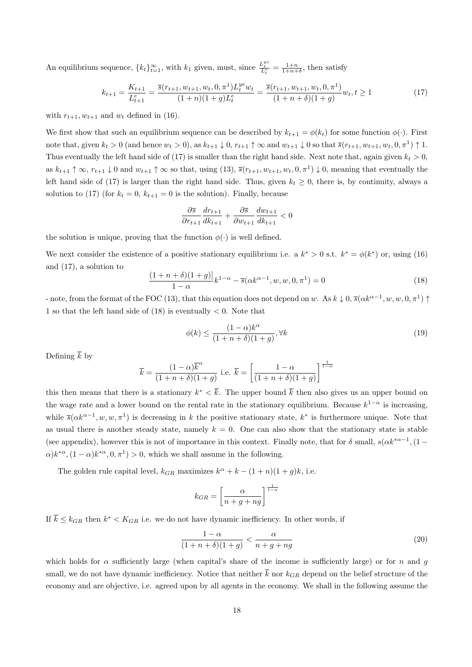An equilibrium sequence,  ${k_t}_{t=1}^{\infty}$ , with  $k_1$  given, must, since  $\frac{L_t^{ye}}{L_t^e} = \frac{1+n}{1+n+\delta}$ , then satisfy

$$
k_{t+1} = \frac{K_{t+1}}{L_{t+1}^e} = \frac{\overline{s}(r_{t+1}, w_{t+1}, w_t, 0, \pi^1)L_t^{ye}w_t}{(1+n)(1+g)L_t^e} = \frac{\overline{s}(r_{t+1}, w_{t+1}, w_t, 0, \pi^1)}{(1+n+\delta)(1+g)}w_t, t \ge 1
$$
\n
$$
(17)
$$

with  $r_{t+1}, w_{t+1}$  and  $w_t$  defined in (16).

We first show that such an equilibrium sequence can be described by  $k_{t+1} = \phi(k_t)$  for some function  $\phi(\cdot)$ . First note that, given  $k_t > 0$  (and hence  $w_t > 0$ ), as  $k_{t+1} \downarrow 0$ ,  $r_{t+1} \uparrow \infty$  and  $w_{t+1} \downarrow 0$  so that  $\overline{s}(r_{t+1}, w_{t+1}, w_t, 0, \pi^1) \uparrow 1$ . Thus eventually the left hand side of (17) is smaller than the right hand side. Next note that, again given  $k_t > 0$ , as  $k_{t+1} \uparrow \infty$ ,  $r_{t+1} \downarrow 0$  and  $w_{t+1} \uparrow \infty$  so that, using (13),  $\overline{s}(r_{t+1}, w_{t+1}, w_t, 0, \pi^1) \downarrow 0$ , meaning that eventually the left hand side of (17) is larger than the right hand side. Thus, given  $k_t \geq 0$ , there is, by continuity, always a solution to (17) (for  $k_t = 0$ ,  $k_{t+1} = 0$  is the solution). Finally, because

$$
\frac{\partial \overline{s}}{\partial r_{t+1}} \frac{dr_{t+1}}{dk_{t+1}} + \frac{\partial \overline{s}}{\partial w_{t+1}} \frac{dw_{t+1}}{dk_{t+1}} < 0
$$

the solution is unique, proving that the function  $\phi(\cdot)$  is well defined.

We next consider the existence of a positive stationary equilibrium i.e. a  $k^* > 0$  s.t.  $k^* = \phi(k^*)$  or, using (16) and (17), a solution to

$$
\frac{(1+n+\delta)(1+g)}{1-\alpha}k^{1-\alpha} - \overline{s}(\alpha k^{\alpha-1}, w, w, 0, \pi^1) = 0
$$
\n(18)

- note, from the format of the FOC (13), that this equation does not depend on w. As  $k \downarrow 0$ ,  $\bar{s}(\alpha k^{\alpha-1}, w, w, 0, \pi^1)$ 1 so that the left hand side of  $(18)$  is eventually  $\lt 0$ . Note that

$$
\phi(k) \le \frac{(1-\alpha)k^{\alpha}}{(1+n+\delta)(1+g)}, \forall k
$$
\n(19)

Defining  $\overline{k}$  by

$$
\overline{k} = \frac{(1-\alpha)\overline{k}^{\alpha}}{(1+n+\delta)(1+g)}
$$
 i.e. 
$$
\overline{k} = \left[\frac{1-\alpha}{(1+n+\delta)(1+g)}\right]^{\frac{1}{1-\alpha}}
$$

this then means that there is a stationary  $k^* < \overline{k}$ . The upper bound  $\overline{k}$  then also gives us an upper bound on the wage rate and a lower bound on the rental rate in the stationary equilibrium. Because  $k^{1-\alpha}$  is increasing, while  $\bar{s}(\alpha k^{\alpha-1}, w, w, \pi^1)$  is decreasing in k the positive stationary state,  $k^*$  is furthermore unique. Note that as usual there is another steady state, namely  $k = 0$ . One can also show that the stationary state is stable (see appendix), however this is not of importance in this context. Finally note, that for  $\delta$  small,  $s(\alpha k^{*\alpha-1},(1-\alpha k^{*\alpha-1}))$  $\alpha$ ) $k^{*\alpha}$ ,  $(1-\alpha)k^{*\alpha}$ ,  $(0, \pi^1) > 0$ , which we shall assume in the following.

The golden rule capital level,  $k_{GR}$  maximizes  $k^{\alpha} + k - (1 + n)(1 + g)k$ , i.e.

$$
k_{GR} = \left[\frac{\alpha}{n+g+ng}\right]^{\frac{1}{1-\alpha}}
$$

If  $\bar{k} \leq k_{GR}$  then  $k^* < K_{GR}$  i.e. we do not have dynamic inefficiency. In other words, if

$$
\frac{1-\alpha}{(1+n+\delta)(1+g)} < \frac{\alpha}{n+g+ng} \tag{20}
$$

which holds for  $\alpha$  sufficiently large (when capital's share of the income is sufficiently large) or for n and g small, we do not have dynamic inefficiency. Notice that neither  $\bar{k}$  nor  $k_{GR}$  depend on the belief structure of the economy and are objective, i.e. agreed upon by all agents in the economy. We shall in the following assume the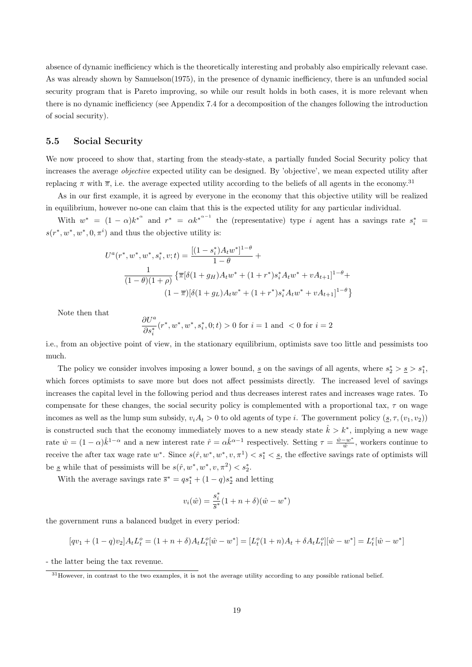absence of dynamic inefficiency which is the theoretically interesting and probably also empirically relevant case. As was already shown by Samuelson(1975), in the presence of dynamic inefficiency, there is an unfunded social security program that is Pareto improving, so while our result holds in both cases, it is more relevant when there is no dynamic inefficiency (see Appendix 7.4 for a decomposition of the changes following the introduction of social security).

## 5.5 Social Security

We now proceed to show that, starting from the steady-state, a partially funded Social Security policy that increases the average *objective* expected utility can be designed. By 'objective', we mean expected utility after replacing  $\pi$  with  $\overline{\pi}$ , i.e. the average expected utility according to the beliefs of all agents in the economy.<sup>31</sup>

As in our first example, it is agreed by everyone in the economy that this objective utility will be realized in equilibrium, however no-one can claim that this is the expected utility for any particular individual.

With  $w^* = (1 - \alpha)k^{*^{\alpha}}$  and  $r^* = \alpha k^{*^{\alpha-1}}$  the (representative) type *i* agent has a savings rate  $s_i^* =$  $s(r^*, w^*, w^*, 0, \pi^i)$  and thus the objective utility is:

$$
U^{a}(r^{*}, w^{*}, w^{*}, s_{i}^{*}, v; t) = \frac{[(1 - s_{i}^{*})A_{t}w^{*}]^{1-\theta}}{1-\theta} + \frac{1}{(1-\theta)(1+\rho)} \left\{\pi[\delta(1+g_{H})A_{t}w^{*} + (1+r^{*})s_{i}^{*}A_{t}w^{*} + vA_{t+1}]^{1-\theta} + (1-\pi)[\delta(1+g_{L})A_{t}w^{*} + (1+r^{*})s_{i}^{*}A_{t}w^{*} + vA_{t+1}]^{1-\theta}\right\}
$$

Note then that

$$
\frac{\partial U^a}{\partial s_i^*} (r^*, w^*, w^*, s_i^*, 0; t) > 0 \text{ for } i = 1 \text{ and } < 0 \text{ for } i = 2
$$

i.e., from an objective point of view, in the stationary equilibrium, optimists save too little and pessimists too much.

The policy we consider involves imposing a lower bound,  $\underline{s}$  on the savings of all agents, where  $s_2^* > \underline{s} > s_1^*$ , which forces optimists to save more but does not affect pessimists directly. The increased level of savings increases the capital level in the following period and thus decreases interest rates and increases wage rates. To compensate for these changes, the social security policy is complemented with a proportional tax,  $\tau$  on wage incomes as well as the lump sum subsidy,  $v_iA_t > 0$  to old agents of type i. The government policy  $(s, \tau, (v_1, v_2))$ is constructed such that the economy immediately moves to a new steady state  $\hat{k} > k^*$ , implying a new wage rate  $\hat{w} = (1 - \alpha)\hat{k}^{1-\alpha}$  and a new interest rate  $\hat{r} = \alpha \hat{k}^{\alpha-1}$  respectively. Setting  $\tau = \frac{\hat{w} - w^*}{\hat{w}}$  $\frac{-w^*}{\hat{w}}$ , workers continue to receive the after tax wage rate  $w^*$ . Since  $s(\hat{r}, w^*, w^*, v, \pi^1) < s_1^* < s$ , the effective savings rate of optimists will be  $\underline{s}$  while that of pessimists will be  $s(\hat{r}, w^*, w^*, v, \pi^2) < s_2^*$ .

With the average savings rate  $\bar{s}^* = qs_1^* + (1-q)s_2^*$  and letting

$$
v_i(\hat{w}) = \frac{s_i^*}{\overline{s}^*} (1 + n + \delta)(\hat{w} - w^*)
$$

the government runs a balanced budget in every period:

$$
[qv_1 + (1-q)v_2]A_tL_t^o = (1+n+\delta)A_tL_t^o[\hat{w} - w^*] = [L_t^o(1+n)A_t + \delta A_tL_t^o][\hat{w} - w^*] = L_t^e[\hat{w} - w^*]
$$

- the latter being the tax revenue.

<sup>31</sup>However, in contrast to the two examples, it is not the average utility according to any possible rational belief.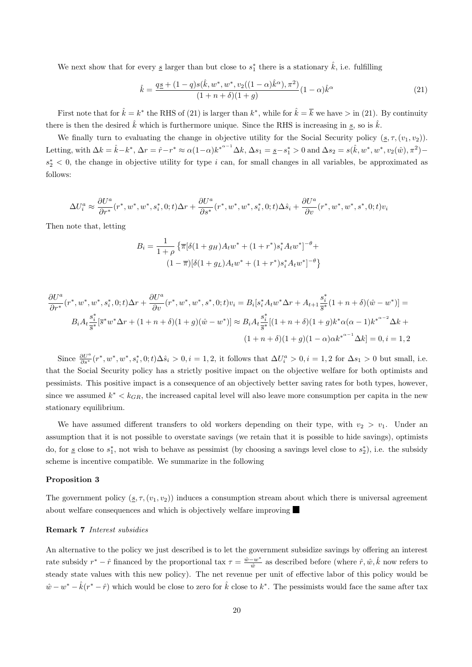We next show that for every  $\underline{s}$  larger than but close to  $s_1^*$  there is a stationary  $\hat{k}$ , i.e. fulfilling

$$
\hat{k} = \frac{q\underline{s} + (1 - q)s(\hat{k}, w^*, w^*, v_2((1 - \alpha)\hat{k}^{\alpha}), \pi^2)}{(1 + n + \delta)(1 + g)}(1 - \alpha)\hat{k}^{\alpha}
$$
\n(21)

First note that for  $\hat{k} = k^*$  the RHS of (21) is larger than  $k^*$ , while for  $\hat{k} = \overline{k}$  we have  $>$  in (21). By continuity there is then the desired  $\hat{k}$  which is furthermore unique. Since the RHS is increasing in  $\underline{s}$ , so is  $\hat{k}$ .

We finally turn to evaluating the change in objective utility for the Social Security policy  $(s, \tau, (v_1, v_2))$ . Letting, with  $\Delta k = \hat{k} - k^*$ ,  $\Delta r = \hat{r} - r^* \approx \alpha (1 - \alpha) k^{*^{\alpha - 1}} \Delta k$ ,  $\Delta s_1 = \underline{s} - s_1^* > 0$  and  $\Delta s_2 = s(\hat{k}, w^*, w^*, v_2(\hat{w}), \pi^2)$  $s_2^*$  < 0, the change in objective utility for type i can, for small changes in all variables, be approximated as follows:

$$
\Delta U_i^a \approx \frac{\partial U^a}{\partial r^*} (r^*,w^*,w^*,s_i^*,0;t)\Delta r + \frac{\partial U^a}{\partial s^*} (r^*,w^*,w^*,s_i^*,0;t)\Delta \hat{s}_i + \frac{\partial U^a}{\partial v} (r^*,w^*,w^*,s^*,0;t) v_i
$$

Then note that, letting

$$
B_i = \frac{1}{1+\rho} \left\{ \overline{\pi} [\delta(1+g_H) A_t w^* + (1+r^*) s_i^* A_t w^*]^{-\theta} + (1-\overline{\pi}) [\delta(1+g_L) A_t w^* + (1+r^*) s_i^* A_t w^*]^{-\theta} \right\}
$$

$$
\frac{\partial U^a}{\partial r^*} (r^*, w^*, w^*, s_i^*, 0; t) \Delta r + \frac{\partial U^a}{\partial v} (r^*, w^*, w^*, s^*, 0; t) v_i = B_i[s_i^* A_t w^* \Delta r + A_{t+1} \frac{s_i^*}{s^*} (1 + n + \delta)(\hat{w} - w^*)] =
$$
  

$$
B_i A_t \frac{s_i^*}{s^*} [\bar{s}^* w^* \Delta r + (1 + n + \delta)(1 + g)(\hat{w} - w^*)] \approx B_i A_t \frac{s_i^*}{s^*} [(1 + n + \delta)(1 + g)k^* \alpha(\alpha - 1)k^{*\alpha - 2} \Delta k + (1 + n + \delta)(1 + g)(1 - \alpha)\alpha k^{*\alpha - 1} \Delta k] = 0, i = 1, 2
$$

Since  $\frac{\partial U^a}{\partial s^*}(r^*, w^*, w^*, s_i^*, 0; t) \Delta \hat{s}_i > 0, i = 1, 2$ , it follows that  $\Delta U_i^a > 0, i = 1, 2$  for  $\Delta s_1 > 0$  but small, i.e. that the Social Security policy has a strictly positive impact on the objective welfare for both optimists and pessimists. This positive impact is a consequence of an objectively better saving rates for both types, however, since we assumed  $k^* < k_{GR}$ , the increased capital level will also leave more consumption per capita in the new stationary equilibrium.

We have assumed different transfers to old workers depending on their type, with  $v_2 > v_1$ . Under an assumption that it is not possible to overstate savings (we retain that it is possible to hide savings), optimists do, for <u>s</u> close to  $s_1^*$ , not wish to behave as pessimist (by choosing a savings level close to  $s_2^*$ ), i.e. the subsidy scheme is incentive compatible. We summarize in the following

## Proposition 3

The government policy  $(s, \tau, (v_1, v_2))$  induces a consumption stream about which there is universal agreement about welfare consequences and which is objectively welfare improving

#### Remark 7 Interest subsidies

An alternative to the policy we just described is to let the government subsidize savings by offering an interest rate subsidy  $r^* - \hat{r}$  financed by the proportional tax  $\tau = \frac{\hat{w} - w^*}{\hat{w}}$  $\frac{-w^*}{\hat{w}}$  as described before (where  $\hat{r}, \hat{w}, \hat{k}$  now refers to steady state values with this new policy). The net revenue per unit of effective labor of this policy would be  $\hat{w} - w^* - \hat{k}(r^* - \hat{r})$  which would be close to zero for  $\hat{k}$  close to  $k^*$ . The pessimists would face the same after tax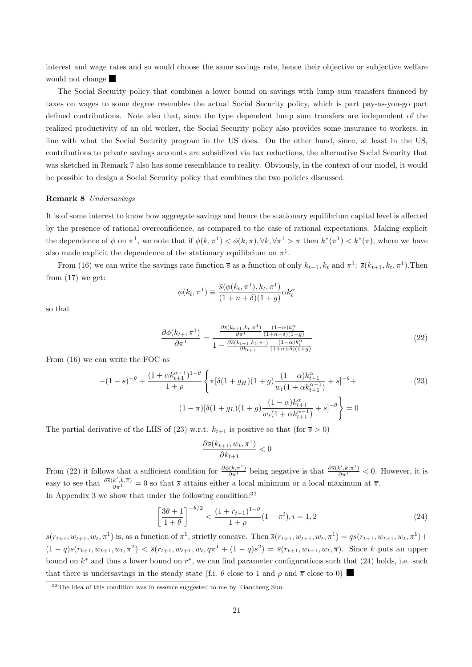interest and wage rates and so would choose the same savings rate, hence their objective or subjective welfare would not change

The Social Security policy that combines a lower bound on savings with lump sum transfers financed by taxes on wages to some degree resembles the actual Social Security policy, which is part pay-as-you-go part defined contributions. Note also that, since the type dependent lump sum transfers are independent of the realized productivity of an old worker, the Social Security policy also provides some insurance to workers, in line with what the Social Security program in the US does. On the other hand, since, at least in the US, contributions to private savings accounts are subsidized via tax reductions, the alternative Social Security that was sketched in Remark 7 also has some resemblance to reality. Obviously, in the context of our model, it would be possible to design a Social Security policy that combines the two policies discussed.

#### Remark 8 Undersavings

It is of some interest to know how aggregate savings and hence the stationary equilibrium capital level is affected by the presence of rational overconfidence, as compared to the case of rational expectations. Making explicit the dependence of  $\phi$  on  $\pi^1$ , we note that if  $\phi(k,\pi)<sup>1</sup>$   $\phi(k,\overline{\pi})$ ,  $\forall k, \forall \pi^1 > \overline{\pi}$  then  $k^*(\pi^1) < k^*(\overline{\pi})$ , where we have also made explicit the dependence of the stationary equilibrium on  $\pi^1$ .

From (16) we can write the savings rate function  $\bar{s}$  as a function of only  $k_{t+1}, k_t$  and  $\pi^1$ :  $\bar{s}(k_{t+1}, k_t, \pi^1)$ . Then from (17) we get:

$$
\phi(k_t, \pi^1) \equiv \frac{\overline{s}(\phi(k_t, \pi^1), k_t, \pi^1)}{(1 + n + \delta)(1 + g)} \alpha k_t^{\alpha}
$$

so that

$$
\frac{\partial \phi(k_{t+1}\pi^1)}{\partial \pi^1} = \frac{\frac{\partial \bar{s}(k_{t+1}, k_t, \pi^1)}{\partial \pi^1} \frac{(1-\alpha)k_t^{\alpha}}{(1+n+\delta)(1+g)}}{1 - \frac{\partial \bar{s}(k_{t+1}, k_t, \pi^1)}{\partial k_{t+1}} \frac{(1-\alpha)k_t^{\alpha}}{(1+n+\delta)(1+g)}}\n\tag{22}
$$

From (16) we can write the FOC as

$$
-(1-s)^{-\theta} + \frac{(1+\alpha k_{t+1}^{\alpha-1})^{1-\theta}}{1+\rho} \left\{ \pi [\delta(1+g_H)(1+g) \frac{(1-\alpha)k_{t+1}^{\alpha}}{w_t(1+\alpha k_{t+1}^{\alpha-1})} + s]^{-\theta} + \right\}
$$
(23)  

$$
(1-\pi)[\delta(1+g_L)(1+g) \frac{(1-\alpha)k_{t+1}^{\alpha}}{w_t(1+\alpha k_{t+1}^{\alpha-1})} + s]^{-\theta} \right\} = 0
$$

The partial derivative of the LHS of (23) w.r.t.  $k_{t+1}$  is positive so that (for  $\bar{s} > 0$ )

$$
\frac{\partial \overline{s}(k_{t+1}, w_t, \pi^1)}{\partial k_{t+1}} < 0
$$

From (22) it follows that a sufficient condition for  $\frac{\partial \phi(k,\pi^1)}{\partial \pi^1}$  being negative is that  $\frac{\partial \overline{s}(k',k,\pi^1)}{\partial \pi^1} < 0$ . However, it is easy to see that  $\frac{\partial \bar{s}(k',k,\bar{\pi})}{\partial \bar{\pi}^1} = 0$  so that  $\bar{s}$  attains either a local minimum or a local maximum at  $\bar{\pi}$ . In Appendix 3 we show that under the following condition:  $32$ 

$$
\left[\frac{3\theta+1}{1+\theta}\right]^{-\theta/2} < \frac{(1+r_{t+1})^{1-\theta}}{1+\rho}(1-\pi^i), i=1,2\tag{24}
$$

 $s(r_{t+1}, w_{t+1}, w_t, \pi^1)$  is, as a function of  $\pi^1$ , strictly concave. Then  $\bar{s}(r_{t+1}, w_{t+1}, w_t, \pi^1) = qs(r_{t+1}, w_{t+1}, w_t, \pi^1) +$  $(1-q)s(r_{t+1}, w_{t+1}, w_t, \pi^2) < \bar{s}(r_{t+1}, w_{t+1}, w_t, q\pi^1 + (1-q)s^2) = \bar{s}(r_{t+1}, w_{t+1}, w_t, \overline{\pi})$ . Since  $\overline{k}$  puts an upper bound on  $k^*$  and thus a lower bound on  $r^*$ , we can find parameter configurations such that (24) holds, i.e. such that there is undersavings in the steady state (f.i.  $\theta$  close to 1 and  $\rho$  and  $\bar{\pi}$  close to 0)

 $32$ The idea of this condition was in essence suggested to me by Tiancheng Sun.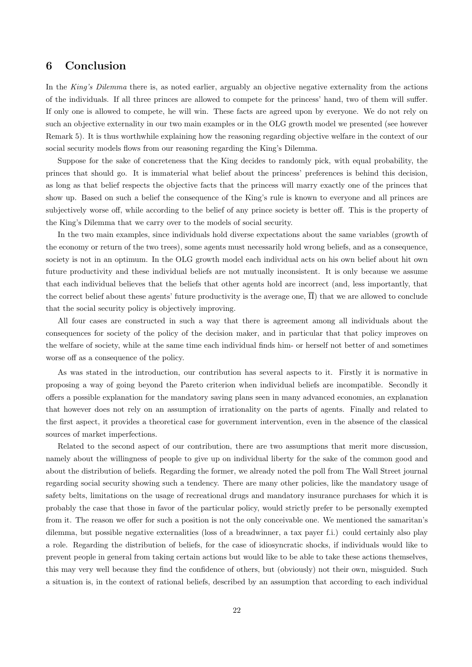## 6 Conclusion

In the King's Dilemma there is, as noted earlier, arguably an objective negative externality from the actions of the individuals. If all three princes are allowed to compete for the princess' hand, two of them will suffer. If only one is allowed to compete, he will win. These facts are agreed upon by everyone. We do not rely on such an objective externality in our two main examples or in the OLG growth model we presented (see however Remark 5). It is thus worthwhile explaining how the reasoning regarding objective welfare in the context of our social security models flows from our reasoning regarding the King's Dilemma.

Suppose for the sake of concreteness that the King decides to randomly pick, with equal probability, the princes that should go. It is immaterial what belief about the princess' preferences is behind this decision, as long as that belief respects the objective facts that the princess will marry exactly one of the princes that show up. Based on such a belief the consequence of the King's rule is known to everyone and all princes are subjectively worse off, while according to the belief of any prince society is better off. This is the property of the King's Dilemma that we carry over to the models of social security.

In the two main examples, since individuals hold diverse expectations about the same variables (growth of the economy or return of the two trees), some agents must necessarily hold wrong beliefs, and as a consequence, society is not in an optimum. In the OLG growth model each individual acts on his own belief about hit own future productivity and these individual beliefs are not mutually inconsistent. It is only because we assume that each individual believes that the beliefs that other agents hold are incorrect (and, less importantly, that the correct belief about these agents' future productivity is the average one,  $\overline{\Pi}$ ) that we are allowed to conclude that the social security policy is objectively improving.

All four cases are constructed in such a way that there is agreement among all individuals about the consequences for society of the policy of the decision maker, and in particular that that policy improves on the welfare of society, while at the same time each individual finds him- or herself not better of and sometimes worse off as a consequence of the policy.

As was stated in the introduction, our contribution has several aspects to it. Firstly it is normative in proposing a way of going beyond the Pareto criterion when individual beliefs are incompatible. Secondly it offers a possible explanation for the mandatory saving plans seen in many advanced economies, an explanation that however does not rely on an assumption of irrationality on the parts of agents. Finally and related to the first aspect, it provides a theoretical case for government intervention, even in the absence of the classical sources of market imperfections.

Related to the second aspect of our contribution, there are two assumptions that merit more discussion, namely about the willingness of people to give up on individual liberty for the sake of the common good and about the distribution of beliefs. Regarding the former, we already noted the poll from The Wall Street journal regarding social security showing such a tendency. There are many other policies, like the mandatory usage of safety belts, limitations on the usage of recreational drugs and mandatory insurance purchases for which it is probably the case that those in favor of the particular policy, would strictly prefer to be personally exempted from it. The reason we offer for such a position is not the only conceivable one. We mentioned the samaritan's dilemma, but possible negative externalities (loss of a breadwinner, a tax payer f.i.) could certainly also play a role. Regarding the distribution of beliefs, for the case of idiosyncratic shocks, if individuals would like to prevent people in general from taking certain actions but would like to be able to take these actions themselves, this may very well because they find the confidence of others, but (obviously) not their own, misguided. Such a situation is, in the context of rational beliefs, described by an assumption that according to each individual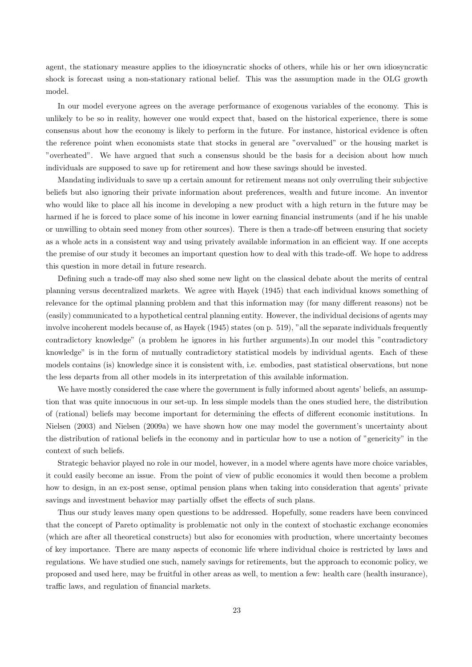agent, the stationary measure applies to the idiosyncratic shocks of others, while his or her own idiosyncratic shock is forecast using a non-stationary rational belief. This was the assumption made in the OLG growth model.

In our model everyone agrees on the average performance of exogenous variables of the economy. This is unlikely to be so in reality, however one would expect that, based on the historical experience, there is some consensus about how the economy is likely to perform in the future. For instance, historical evidence is often the reference point when economists state that stocks in general are "overvalued" or the housing market is "overheated". We have argued that such a consensus should be the basis for a decision about how much individuals are supposed to save up for retirement and how these savings should be invested.

Mandating individuals to save up a certain amount for retirement means not only overruling their subjective beliefs but also ignoring their private information about preferences, wealth and future income. An inventor who would like to place all his income in developing a new product with a high return in the future may be harmed if he is forced to place some of his income in lower earning financial instruments (and if he his unable or unwilling to obtain seed money from other sources). There is then a trade-off between ensuring that society as a whole acts in a consistent way and using privately available information in an efficient way. If one accepts the premise of our study it becomes an important question how to deal with this trade-off. We hope to address this question in more detail in future research.

Defining such a trade-off may also shed some new light on the classical debate about the merits of central planning versus decentralized markets. We agree with Hayek (1945) that each individual knows something of relevance for the optimal planning problem and that this information may (for many different reasons) not be (easily) communicated to a hypothetical central planning entity. However, the individual decisions of agents may involve incoherent models because of, as Hayek (1945) states (on p. 519), "all the separate individuals frequently contradictory knowledge" (a problem he ignores in his further arguments).In our model this "contradictory knowledge" is in the form of mutually contradictory statistical models by individual agents. Each of these models contains (is) knowledge since it is consistent with, i.e. embodies, past statistical observations, but none the less departs from all other models in its interpretation of this available information.

We have mostly considered the case where the government is fully informed about agents' beliefs, an assumption that was quite innocuous in our set-up. In less simple models than the ones studied here, the distribution of (rational) beliefs may become important for determining the effects of different economic institutions. In Nielsen (2003) and Nielsen (2009a) we have shown how one may model the government's uncertainty about the distribution of rational beliefs in the economy and in particular how to use a notion of "genericity" in the context of such beliefs.

Strategic behavior played no role in our model, however, in a model where agents have more choice variables, it could easily become an issue. From the point of view of public economics it would then become a problem how to design, in an ex-post sense, optimal pension plans when taking into consideration that agents' private savings and investment behavior may partially offset the effects of such plans.

Thus our study leaves many open questions to be addressed. Hopefully, some readers have been convinced that the concept of Pareto optimality is problematic not only in the context of stochastic exchange economies (which are after all theoretical constructs) but also for economies with production, where uncertainty becomes of key importance. There are many aspects of economic life where individual choice is restricted by laws and regulations. We have studied one such, namely savings for retirements, but the approach to economic policy, we proposed and used here, may be fruitful in other areas as well, to mention a few: health care (health insurance), traffic laws, and regulation of financial markets.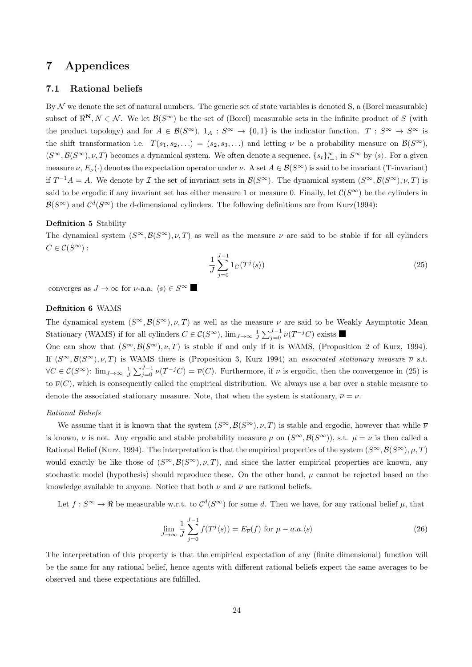## 7 Appendices

## 7.1 Rational beliefs

By  $\mathcal N$  we denote the set of natural numbers. The generic set of state variables is denoted S, a (Borel measurable) subset of  $\mathbb{R}^N, N \in \mathcal{N}$ . We let  $\mathcal{B}(S^{\infty})$  be the set of (Borel) measurable sets in the infinite product of S (with the product topology) and for  $A \in \mathcal{B}(S^{\infty})$ ,  $1_A : S^{\infty} \to \{0,1\}$  is the indicator function.  $T : S^{\infty} \to S^{\infty}$  is the shift transformation i.e.  $T(s_1, s_2, ...) = (s_2, s_3, ...)$  and letting  $\nu$  be a probability measure on  $\mathcal{B}(S^{\infty})$ ,  $(S^{\infty}, \mathcal{B}(S^{\infty}), \nu, T)$  becomes a dynamical system. We often denote a sequence,  $\{s_t\}_{t=1}^{\infty}$  in  $S^{\infty}$  by  $\langle s \rangle$ . For a given measure  $\nu, E_{\nu}(\cdot)$  denotes the expectation operator under  $\nu$ . A set  $A \in \mathcal{B}(S^{\infty})$  is said to be invariant (T-invariant) if  $T^{-1}A = A$ . We denote by  $\mathcal I$  the set of invariant sets in  $\mathcal B(S^{\infty})$ . The dynamical system  $(S^{\infty}, \mathcal B(S^{\infty}), \nu, T)$  is said to be ergodic if any invariant set has either measure 1 or measure 0. Finally, let  $\mathcal{C}(S^{\infty})$  be the cylinders in  $\mathcal{B}(S^{\infty})$  and  $\mathcal{C}^{d}(S^{\infty})$  the d-dimensional cylinders. The following definitions are from Kurz(1994):

## Definition 5 Stability

The dynamical system  $(S^{\infty}, \mathcal{B}(S^{\infty}), \nu, T)$  as well as the measure  $\nu$  are said to be stable if for all cylinders  $C \in \mathcal{C}(S^{\infty})$ :

$$
\frac{1}{J} \sum_{j=0}^{J-1} 1_C(T^j \langle s \rangle) \tag{25}
$$

converges as  $J \to \infty$  for  $\nu$ -a.a.  $\langle s \rangle \in S^{\infty}$ 

## Definition 6 WAMS

The dynamical system  $(S^{\infty}, \mathcal{B}(S^{\infty}), \nu, T)$  as well as the measure  $\nu$  are said to be Weakly Asymptotic Mean Stationary (WAMS) if for all cylinders  $C \in \mathcal{C}(S^{\infty})$ ,  $\lim_{J \to \infty} \frac{1}{J} \sum_{j=0}^{J-1} \nu(T^{-j}C)$  exists

One can show that  $(S^{\infty}, \mathcal{B}(S^{\infty}), \nu, T)$  is stable if and only if it is WAMS, (Proposition 2 of Kurz, 1994). If  $(S^{\infty}, \mathcal{B}(S^{\infty}), \nu, T)$  is WAMS there is (Proposition 3, Kurz 1994) an associated stationary measure  $\overline{\nu}$  s.t.  $\forall C \in \mathcal{C}(S^{\infty})$ :  $\lim_{J \to \infty} \frac{1}{J} \sum_{j=0}^{J-1} \nu(T^{-j}C) = \overline{\nu}(C)$ . Furthermore, if  $\nu$  is ergodic, then the convergence in (25) is to  $\overline{\nu}(C)$ , which is consequently called the empirical distribution. We always use a bar over a stable measure to denote the associated stationary measure. Note, that when the system is stationary,  $\overline{\nu} = \nu$ .

## Rational Beliefs

We assume that it is known that the system  $(S^{\infty}, \mathcal{B}(S^{\infty}), \nu, T)$  is stable and ergodic, however that while  $\overline{\nu}$ is known,  $\nu$  is not. Any ergodic and stable probability measure  $\mu$  on  $(S^{\infty}, \mathcal{B}(S^{\infty}))$ , s.t.  $\overline{\mu} = \overline{\nu}$  is then called a Rational Belief (Kurz, 1994). The interpretation is that the empirical properties of the system  $(S^{\infty}, \mathcal{B}(S^{\infty}), \mu, T)$ would exactly be like those of  $(S^{\infty}, \mathcal{B}(S^{\infty}), \nu, T)$ , and since the latter empirical properties are known, any stochastic model (hypothesis) should reproduce these. On the other hand,  $\mu$  cannot be rejected based on the knowledge available to anyone. Notice that both  $\nu$  and  $\overline{\nu}$  are rational beliefs.

Let  $f: S^{\infty} \to \Re$  be measurable w.r.t. to  $\mathcal{C}^{d}(S^{\infty})$  for some d. Then we have, for any rational belief  $\mu$ , that

$$
\lim_{J \to \infty} \frac{1}{J} \sum_{j=0}^{J-1} f(T^j \langle s \rangle) = E_{\overline{\nu}}(f) \text{ for } \mu - a.a. \langle s \rangle \tag{26}
$$

The interpretation of this property is that the empirical expectation of any (finite dimensional) function will be the same for any rational belief, hence agents with different rational beliefs expect the same averages to be observed and these expectations are fulfilled.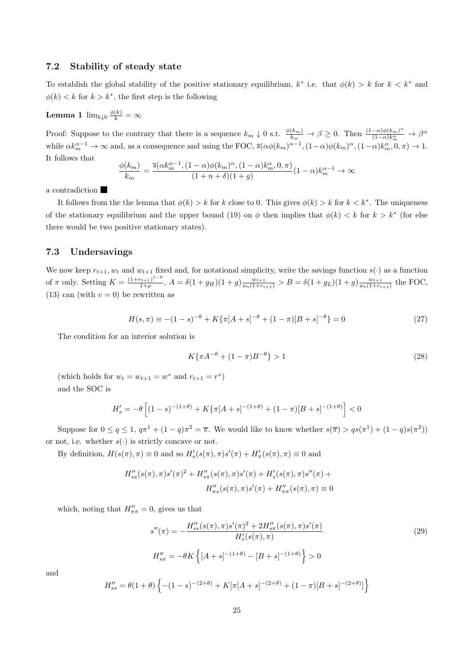## 7.2 Stability of steady state

To establish the global stability of the positive stationary equilibrium,  $k^*$  i.e. that  $\phi(k) > k$  for  $k < k^*$  and  $\phi(k) < k$  for  $k > k^*$ , the first step is the following

**Lemma 1**  $\lim_{k\downarrow 0} \frac{\phi(k)}{k} = \infty$ 

Proof: Suppose to the contrary that there is a sequence  $k_m \downarrow 0$  s.t.  $\frac{\phi(k_m)}{k_m} \to \beta \geq 0$ . Then  $\frac{(1-\alpha)\phi(k_m)^{\alpha}}{(1-\alpha)k_m^{\alpha}}$  $\frac{(-\alpha)\phi(k_m)^{\alpha}}{(1-\alpha)k_m^{\alpha}} \to \beta^{\alpha}$ while  $\alpha k_m^{\alpha-1} \to \infty$  and, as a consequence and using the FOC,  $\bar{s}(\alpha\phi(k_m)^{\alpha-1}, (1-\alpha)\phi(k_m)^{\alpha}, (1-\alpha)k_m^{\alpha}, 0, \pi) \to 1$ . It follows that

$$
\frac{\phi(k_m)}{k_m} = \frac{\overline{s}(\alpha k_m^{\alpha-1}, (1-\alpha)\phi(k_m)^{\alpha}, (1-\alpha)k_m^{\alpha}, 0, \pi)}{(1+n+\delta)(1+g)}(1-\alpha)k_m^{\alpha-1} \to \infty
$$

a contradiction

It follows from the the lemma that  $\phi(k) > k$  for k close to 0. This gives  $\phi(k) > k$  for  $k < k^*$ . The uniqueness of the stationary equilibrium and the upper bound (19) on  $\phi$  then implies that  $\phi(k) < k$  for  $k > k^*$  (for else there would be two positive stationary states).

## 7.3 Undersavings

We now keep  $r_{t+1}, w_t$  and  $w_{t+1}$  fixed and, for notational simplicity, write the savings function  $s(\cdot)$  as a function of  $\pi$  only. Setting  $K = \frac{(1+r_{t+1})^{1-\theta}}{1+\theta}$  $\frac{(n+1)^{1-\theta}}{1+\rho}, A = \delta(1+g_H)(1+g)\frac{w_{t+1}}{w_t(1+r_{t+1})} > B = \delta(1+g_L)(1+g)\frac{w_{t+1}}{w_t(1+r_t)}$  $\frac{w_{t+1}}{w_t(1+r_{t+1})}$  the FOC, (13) can (with  $v = 0$ ) be rewritten as

$$
H(s,\pi) \equiv -(1-s)^{-\theta} + K\{\pi[A+s]^{-\theta} + (1-\pi)[B+s]^{-\theta}\} = 0
$$
\n(27)

The condition for an interior solution is

$$
K\{\pi A^{-\theta} + (1-\pi)B^{-\theta}\} > 1\tag{28}
$$

(which holds for  $w_t = w_{t+1} = w^*$  and  $r_{t+1} = r^*$ ) and the SOC is

$$
H'_{s} = -\theta \left[ (1-s)^{-(1+\theta)} + K \{ \pi [A+s]^{-(1+\theta)} + (1-\pi)[B+s]^{-(1+\theta)} \right] < 0
$$

Suppose for  $0 \le q \le 1$ ,  $q\pi^1 + (1-q)\pi^2 = \overline{\pi}$ . We would like to know whether  $s(\overline{\pi}) > qs(\pi^1) + (1-q)s(\pi^2)$ or not, i.e. whether  $s(\cdot)$  is strictly concave or not.

By definition,  $H(s(\pi), \pi) \equiv 0$  and so  $H'_{s}(s(\pi), \pi)s'(\pi) + H'_{\pi}(s(\pi), \pi) \equiv 0$  and

$$
H''_{ss}(s(\pi), \pi)s'(\pi)^{2} + H''_{s\pi}(s(\pi), \pi)s'(\pi) + H'_{s}(s(\pi), \pi)s''(\pi) + H''_{\pi s}(s(\pi), \pi)s'(\pi) + H''_{\pi\pi}(s(\pi), \pi) \equiv 0
$$

which, noting that  $H''_{\pi\pi} = 0$ , gives us that

$$
s''(\pi) = -\frac{H''_{ss}(s(\pi), \pi)s'(\pi)^2 + 2H''_{s\pi}(s(\pi), \pi)s'(\pi)}{H'_s(s(\pi), \pi)}
$$
  
\n
$$
H''_{s\pi} = -\theta K\left\{ [A+s]^{-(1+\theta)} - [B+s]^{-(1+\theta)} \right\} > 0
$$
\n(29)

and

$$
H''_{ss} = \theta(1+\theta) \left\{ -(1-s)^{-(2+\theta)} + K[\pi[A+s]^{-(2+\theta)} + (1-\pi)[B+s]^{-(2+\theta)} \right\}
$$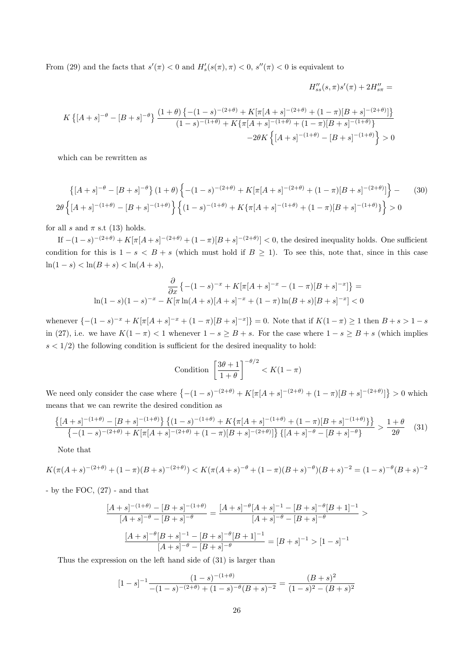From (29) and the facts that  $s'(\pi) < 0$  and  $H'_{s}(s(\pi), \pi) < 0$ ,  $s''(\pi) < 0$  is equivalent to

$$
H''_{ss}(s,\pi)s'(\pi) + 2H''_{s\pi} =
$$
  

$$
K\left\{ [A+s]^{-\theta} - [B+s]^{-\theta} \right\} \frac{(1+\theta)\left\{ -(1-s)^{-(2+\theta)} + K[\pi[A+s]^{-(2+\theta)} + (1-\pi)[B+s]^{-(2+\theta)}] \right\}}{(1-s)^{-(1+\theta)} + K\{\pi[A+s]^{-(1+\theta)} + (1-\pi)[B+s]^{-(1+\theta)}\}}
$$
  

$$
-2\theta K\left\{ [A+s]^{-(1+\theta)} - [B+s]^{-(1+\theta)} \right\} > 0
$$

which can be rewritten as

$$
\left\{ [A+s]^{-\theta} - [B+s]^{-\theta} \right\} (1+\theta) \left\{ -(1-s)^{-(2+\theta)} + K[\pi[A+s]^{-(2+\theta)} + (1-\pi)[B+s]^{-(2+\theta)}] \right\} - (30)
$$
  
2 $\theta \left\{ [A+s]^{-(1+\theta)} - [B+s]^{-(1+\theta)} \right\} \left\{ (1-s)^{-(1+\theta)} + K\{\pi[A+s]^{-(1+\theta)} + (1-\pi)[B+s]^{-(1+\theta)} \} \right\} > 0$ 

for all s and  $\pi$  s.t (13) holds.

If  $-(1-s)^{-(2+\theta)} + K[\pi[A+s]^{-(2+\theta)} + (1-\pi)[B+s]^{-(2+\theta)}] < 0$ , the desired inequality holds. One sufficient condition for this is  $1-s < B+s$  (which must hold if  $B \ge 1$ ). To see this, note that, since in this case ln(1 − s) < ln(B + s) < ln(A + s),

$$
\frac{\partial}{\partial x} \left\{ -(1-s)^{-x} + K[\pi[A+s]^{-x} - (1-\pi)[B+s]^{-x} \right\} =
$$
  
ln(1-s)(1-s)^{-x} - K[\pi \ln(A+s)[A+s]^{-x} + (1-\pi)\ln(B+s)[B+s]^{-x} < 0

whenever  $\{-(1-s)^{-x}+K[\pi[A+s]^{-x}+(1-\pi)[B+s]^{-x}\} = 0$ . Note that if  $K(1-\pi) \geq 1$  then  $B+s > 1-s$ in (27), i.e. we have  $K(1 - \pi) < 1$  whenever  $1 - s \geq B + s$ . For the case where  $1 - s \geq B + s$  (which implies  $s < 1/2$ ) the following condition is sufficient for the desired inequality to hold:

Condition 
$$
\left[\frac{3\theta + 1}{1 + \theta}\right]^{-\theta/2} < K(1 - \pi)
$$

We need only consider the case where  $\{-(1-s)^{-(2+\theta)} + K[\pi[A+s]^{-(2+\theta)} + (1-\pi)[B+s]^{-(2+\theta)}\}\geq 0$  which means that we can rewrite the desired condition as

$$
\frac{\left\{[A+s]^{-(1+\theta)} - [B+s]^{-(1+\theta)}\right\} \left\{ (1-s)^{-(1+\theta)} + K\{\pi[A+s]^{-(1+\theta)} + (1-\pi)[B+s]^{-(1+\theta)}\} \right\}}{\left\{ -(1-s)^{-(2+\theta)} + K[\pi[A+s]^{-(2+\theta)} + (1-\pi)[B+s]^{-(2+\theta)} \right\} \left\{ [A+s]^{-\theta} - [B+s]^{-\theta} \right\}} > \frac{1+\theta}{2\theta} \quad (31)
$$

Note that

$$
K(\pi(A+s)^{-(2+\theta)} + (1-\pi)(B+s)^{-(2+\theta)}) < K(\pi(A+s)^{-\theta} + (1-\pi)(B+s)^{-\theta})(B+s)^{-2} = (1-s)^{-\theta}(B+s)^{-2}
$$

- by the FOC, (27) - and that

$$
\frac{[A+s]^{-(1+\theta)} - [B+s]^{-(1+\theta)}}{[A+s]^{-\theta} - [B+s]^{-\theta}} = \frac{[A+s]^{-\theta}[A+s]^{-1} - [B+s]^{-\theta}[B+1]^{-1}}{[A+s]^{-\theta} - [B+s]^{-\theta}}
$$

$$
\frac{[A+s]^{-\theta}[B+s]^{-1} - [B+s]^{-\theta}[B+1]^{-1}}{[A+s]^{-\theta} - [B+s]^{-\theta}} = [B+s]^{-1} > [1-s]^{-1}
$$

Thus the expression on the left hand side of (31) is larger than

$$
[1-s]^{-1} \frac{(1-s)^{-(1+\theta)}}{-(1-s)^{-(2+\theta)} + (1-s)^{-\theta}(B+s)^{-2}} = \frac{(B+s)^2}{(1-s)^2 - (B+s)^2}
$$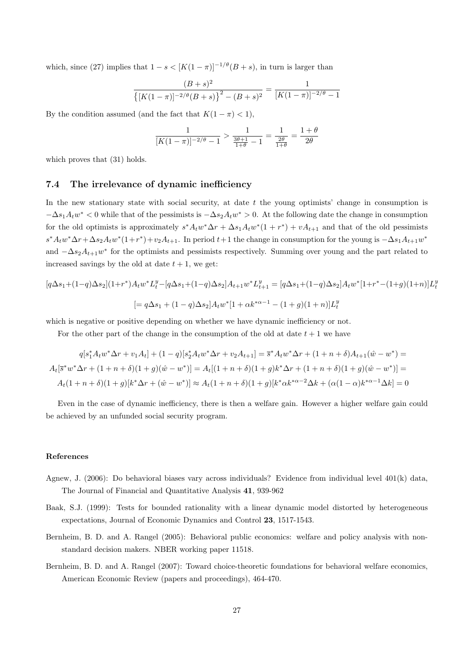which, since (27) implies that  $1 - s < [K(1 - \pi)]^{-1/\theta} (B + s)$ , in turn is larger than

$$
\frac{(B+s)^2}{\left\{[K(1-\pi)]^{-2/\theta}(B+s)\right\}^2 - (B+s)^2} = \frac{1}{[K(1-\pi)]^{-2/\theta} - 1}
$$

By the condition assumed (and the fact that  $K(1 - \pi) < 1$ ),

$$
\frac{1}{[K(1-\pi)]^{-2/\theta}-1} > \frac{1}{\frac{3\theta+1}{1+\theta}-1} = \frac{1}{\frac{2\theta}{1+\theta}} = \frac{1+\theta}{2\theta}
$$

which proves that  $(31)$  holds.

## 7.4 The irrelevance of dynamic inefficiency

In the new stationary state with social security, at date  $t$  the young optimists' change in consumption is  $-\Delta s_1 A_t w^* < 0$  while that of the pessimists is  $-\Delta s_2 A_t w^* > 0$ . At the following date the change in consumption for the old optimists is approximately  $s^*A_t w^* \Delta r + \Delta s_1 A_t w^* (1 + r^*) + vA_{t+1}$  and that of the old pessimists  $s^*A_t w^* \Delta r + \Delta s_2 A_t w^* (1+r^*) + v_2 A_{t+1}$ . In period  $t+1$  the change in consumption for the young is  $-\Delta s_1 A_{t+1} w^*$ and  $-\Delta s_2 A_{t+1} w^*$  for the optimists and pessimists respectively. Summing over young and the part related to increased savings by the old at date  $t + 1$ , we get:

$$
[q\Delta s_1 + (1-q)\Delta s_2](1+r^*)A_t w^* L_t^y - [q\Delta s_1 + (1-q)\Delta s_2]A_{t+1} w^* L_{t+1}^y = [q\Delta s_1 + (1-q)\Delta s_2]A_t w^* [1+r^*-(1+g)(1+n)]L_t^y
$$
  
\n
$$
[= q\Delta s_1 + (1-q)\Delta s_2]A_t w^* [1+\alpha k^{*\alpha-1} - (1+g)(1+n)]L_t^y
$$

which is negative or positive depending on whether we have dynamic inefficiency or not.

For the other part of the change in the consumption of the old at date  $t + 1$  we have

$$
q[s_1^* A_t w^* \Delta r + v_1 A_t] + (1 - q)[s_2^* A_t w^* \Delta r + v_2 A_{t+1}] = \overline{s}^* A_t w^* \Delta r + (1 + n + \delta) A_{t+1} (\hat{w} - w^*) =
$$
  

$$
A_t [\overline{s}^* w^* \Delta r + (1 + n + \delta)(1 + g)(\hat{w} - w^*)] = A_t [(1 + n + \delta)(1 + g)k^* \Delta r + (1 + n + \delta)(1 + g)(\hat{w} - w^*)] =
$$
  

$$
A_t (1 + n + \delta)(1 + g)[k^* \Delta r + (\hat{w} - w^*)] \approx A_t (1 + n + \delta)(1 + g)[k^* \alpha k^{* \alpha - 2} \Delta k + (\alpha(1 - \alpha)k^{* \alpha - 1} \Delta k] = 0
$$

Even in the case of dynamic inefficiency, there is then a welfare gain. However a higher welfare gain could be achieved by an unfunded social security program.

## References

- Agnew, J. (2006): Do behavioral biases vary across individuals? Evidence from individual level 401(k) data, The Journal of Financial and Quantitative Analysis 41, 939-962
- Baak, S.J. (1999): Tests for bounded rationality with a linear dynamic model distorted by heterogeneous expectations, Journal of Economic Dynamics and Control 23, 1517-1543.
- Bernheim, B. D. and A. Rangel (2005): Behavioral public economics: welfare and policy analysis with nonstandard decision makers. NBER working paper 11518.
- Bernheim, B. D. and A. Rangel (2007): Toward choice-theoretic foundations for behavioral welfare economics, American Economic Review (papers and proceedings), 464-470.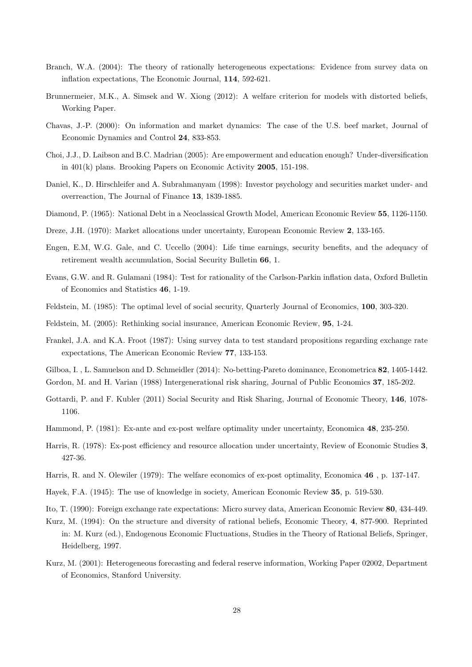- Branch, W.A. (2004): The theory of rationally heterogeneous expectations: Evidence from survey data on inflation expectations, The Economic Journal, 114, 592-621.
- Brunnermeier, M.K., A. Simsek and W. Xiong (2012): A welfare criterion for models with distorted beliefs, Working Paper.
- Chavas, J.-P. (2000): On information and market dynamics: The case of the U.S. beef market, Journal of Economic Dynamics and Control 24, 833-853.
- Choi, J.J., D. Laibson and B.C. Madrian (2005): Are empowerment and education enough? Under-diversification in 401(k) plans. Brooking Papers on Economic Activity 2005, 151-198.
- Daniel, K., D. Hirschleifer and A. Subrahmanyam (1998): Investor psychology and securities market under- and overreaction, The Journal of Finance 13, 1839-1885.
- Diamond, P. (1965): National Debt in a Neoclassical Growth Model, American Economic Review 55, 1126-1150.
- Dreze, J.H. (1970): Market allocations under uncertainty, European Economic Review 2, 133-165.
- Engen, E.M, W.G. Gale, and C. Uccello (2004): Life time earnings, security benefits, and the adequacy of retirement wealth accumulation, Social Security Bulletin 66, 1.
- Evans, G.W. and R. Gulamani (1984): Test for rationality of the Carlson-Parkin inflation data, Oxford Bulletin of Economics and Statistics 46, 1-19.
- Feldstein, M. (1985): The optimal level of social security, Quarterly Journal of Economics, 100, 303-320.
- Feldstein, M. (2005): Rethinking social insurance, American Economic Review, 95, 1-24.
- Frankel, J.A. and K.A. Froot (1987): Using survey data to test standard propositions regarding exchange rate expectations, The American Economic Review 77, 133-153.
- Gilboa, I. , L. Samuelson and D. Schmeidler (2014): No-betting-Pareto dominance, Econometrica 82, 1405-1442. Gordon, M. and H. Varian (1988) Intergenerational risk sharing, Journal of Public Economics 37, 185-202.
- Gottardi, P. and F. Kubler (2011) Social Security and Risk Sharing, Journal of Economic Theory, 146, 1078- 1106.
- Hammond, P. (1981): Ex-ante and ex-post welfare optimality under uncertainty, Economica 48, 235-250.
- Harris, R. (1978): Ex-post efficiency and resource allocation under uncertainty, Review of Economic Studies 3, 427-36.
- Harris, R. and N. Olewiler (1979): The welfare economics of ex-post optimality, Economica 46 , p. 137-147.
- Hayek, F.A. (1945): The use of knowledge in society, American Economic Review 35, p. 519-530.

Ito, T. (1990): Foreign exchange rate expectations: Micro survey data, American Economic Review 80, 434-449.

- Kurz, M. (1994): On the structure and diversity of rational beliefs, Economic Theory, 4, 877-900. Reprinted in: M. Kurz (ed.), Endogenous Economic Fluctuations, Studies in the Theory of Rational Beliefs, Springer, Heidelberg, 1997.
- Kurz, M. (2001): Heterogeneous forecasting and federal reserve information, Working Paper 02002, Department of Economics, Stanford University.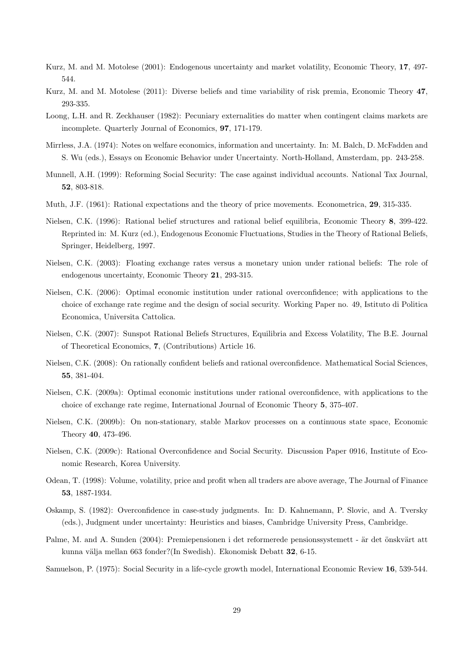- Kurz, M. and M. Motolese (2001): Endogenous uncertainty and market volatility, Economic Theory, 17, 497- 544.
- Kurz, M. and M. Motolese (2011): Diverse beliefs and time variability of risk premia, Economic Theory 47, 293-335.
- Loong, L.H. and R. Zeckhauser (1982): Pecuniary externalities do matter when contingent claims markets are incomplete. Quarterly Journal of Economics, 97, 171-179.
- Mirrless, J.A. (1974): Notes on welfare economics, information and uncertainty. In: M. Balch, D. McFadden and S. Wu (eds.), Essays on Economic Behavior under Uncertainty. North-Holland, Amsterdam, pp. 243-258.
- Munnell, A.H. (1999): Reforming Social Security: The case against individual accounts. National Tax Journal, 52, 803-818.
- Muth, J.F. (1961): Rational expectations and the theory of price movements. Econometrica, 29, 315-335.
- Nielsen, C.K. (1996): Rational belief structures and rational belief equilibria, Economic Theory 8, 399-422. Reprinted in: M. Kurz (ed.), Endogenous Economic Fluctuations, Studies in the Theory of Rational Beliefs, Springer, Heidelberg, 1997.
- Nielsen, C.K. (2003): Floating exchange rates versus a monetary union under rational beliefs: The role of endogenous uncertainty, Economic Theory 21, 293-315.
- Nielsen, C.K. (2006): Optimal economic institution under rational overconfidence; with applications to the choice of exchange rate regime and the design of social security. Working Paper no. 49, Istituto di Politica Economica, Universita Cattolica.
- Nielsen, C.K. (2007): Sunspot Rational Beliefs Structures, Equilibria and Excess Volatility, The B.E. Journal of Theoretical Economics, 7, (Contributions) Article 16.
- Nielsen, C.K. (2008): On rationally confident beliefs and rational overconfidence. Mathematical Social Sciences, 55, 381-404.
- Nielsen, C.K. (2009a): Optimal economic institutions under rational overconfidence, with applications to the choice of exchange rate regime, International Journal of Economic Theory 5, 375-407.
- Nielsen, C.K. (2009b): On non-stationary, stable Markov processes on a continuous state space, Economic Theory 40, 473-496.
- Nielsen, C.K. (2009c): Rational Overconfidence and Social Security. Discussion Paper 0916, Institute of Economic Research, Korea University.
- Odean, T. (1998): Volume, volatility, price and profit when all traders are above average, The Journal of Finance 53, 1887-1934.
- Oskamp, S. (1982): Overconfidence in case-study judgments. In: D. Kahnemann, P. Slovic, and A. Tversky (eds.), Judgment under uncertainty: Heuristics and biases, Cambridge University Press, Cambridge.
- Palme, M. and A. Sunden (2004): Premiepensionen i det reformerede pensionssystemett är det önskvärt att kunna välja mellan 663 fonder?(In Swedish). Ekonomisk Debatt 32, 6-15.
- Samuelson, P. (1975): Social Security in a life-cycle growth model, International Economic Review 16, 539-544.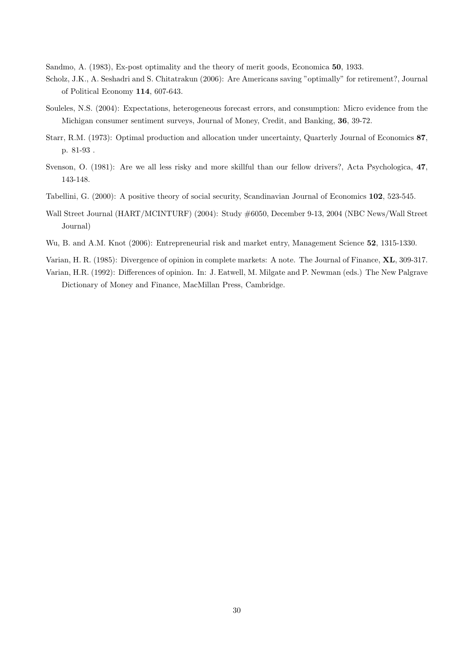Sandmo, A. (1983), Ex-post optimality and the theory of merit goods, Economica 50, 1933.

- Scholz, J.K., A. Seshadri and S. Chitatrakun (2006): Are Americans saving "optimally" for retirement?, Journal of Political Economy 114, 607-643.
- Souleles, N.S. (2004): Expectations, heterogeneous forecast errors, and consumption: Micro evidence from the Michigan consumer sentiment surveys, Journal of Money, Credit, and Banking, 36, 39-72.
- Starr, R.M. (1973): Optimal production and allocation under uncertainty, Quarterly Journal of Economics 87, p. 81-93 .
- Svenson, O. (1981): Are we all less risky and more skillful than our fellow drivers?, Acta Psychologica, 47, 143-148.
- Tabellini, G. (2000): A positive theory of social security, Scandinavian Journal of Economics 102, 523-545.
- Wall Street Journal (HART/MCINTURF) (2004): Study #6050, December 9-13, 2004 (NBC News/Wall Street Journal)
- Wu, B. and A.M. Knot (2006): Entrepreneurial risk and market entry, Management Science 52, 1315-1330.

Varian, H. R. (1985): Divergence of opinion in complete markets: A note. The Journal of Finance, XL, 309-317.

Varian, H.R. (1992): Differences of opinion. In: J. Eatwell, M. Milgate and P. Newman (eds.) The New Palgrave Dictionary of Money and Finance, MacMillan Press, Cambridge.